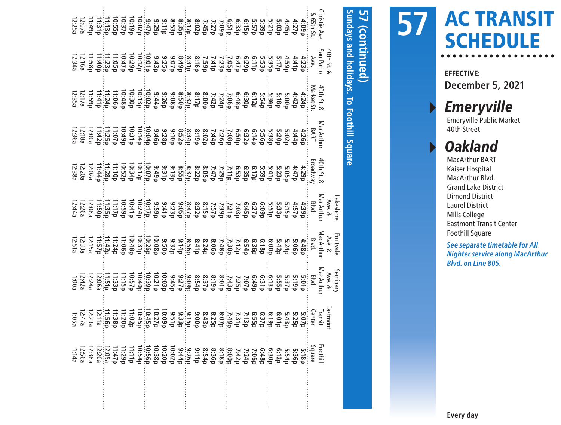| 1:14a              |                    |          |                                                                                                                                                                                                                                                                                                                                                                                                                                                               |         |                                                                                                                                                                                                                                                                                                                                                                                                                                            |                                                                                                                                                                                                                                                                                                                                                                                                                                                    |                         |  |
|--------------------|--------------------|----------|---------------------------------------------------------------------------------------------------------------------------------------------------------------------------------------------------------------------------------------------------------------------------------------------------------------------------------------------------------------------------------------------------------------------------------------------------------------|---------|--------------------------------------------------------------------------------------------------------------------------------------------------------------------------------------------------------------------------------------------------------------------------------------------------------------------------------------------------------------------------------------------------------------------------------------------|----------------------------------------------------------------------------------------------------------------------------------------------------------------------------------------------------------------------------------------------------------------------------------------------------------------------------------------------------------------------------------------------------------------------------------------------------|-------------------------|--|
| <b>12:56a</b>      |                    |          |                                                                                                                                                                                                                                                                                                                                                                                                                                                               |         |                                                                                                                                                                                                                                                                                                                                                                                                                                            |                                                                                                                                                                                                                                                                                                                                                                                                                                                    |                         |  |
| l2:38a             |                    |          |                                                                                                                                                                                                                                                                                                                                                                                                                                                               |         |                                                                                                                                                                                                                                                                                                                                                                                                                                            |                                                                                                                                                                                                                                                                                                                                                                                                                                                    |                         |  |
| $12.20a$<br>12.20a |                    |          |                                                                                                                                                                                                                                                                                                                                                                                                                                                               |         |                                                                                                                                                                                                                                                                                                                                                                                                                                            |                                                                                                                                                                                                                                                                                                                                                                                                                                                    |                         |  |
|                    |                    |          |                                                                                                                                                                                                                                                                                                                                                                                                                                                               |         |                                                                                                                                                                                                                                                                                                                                                                                                                                            |                                                                                                                                                                                                                                                                                                                                                                                                                                                    |                         |  |
| $d/t$ ; LL         |                    |          |                                                                                                                                                                                                                                                                                                                                                                                                                                                               |         |                                                                                                                                                                                                                                                                                                                                                                                                                                            |                                                                                                                                                                                                                                                                                                                                                                                                                                                    |                         |  |
|                    |                    |          |                                                                                                                                                                                                                                                                                                                                                                                                                                                               |         |                                                                                                                                                                                                                                                                                                                                                                                                                                            |                                                                                                                                                                                                                                                                                                                                                                                                                                                    |                         |  |
|                    |                    |          |                                                                                                                                                                                                                                                                                                                                                                                                                                                               |         |                                                                                                                                                                                                                                                                                                                                                                                                                                            |                                                                                                                                                                                                                                                                                                                                                                                                                                                    |                         |  |
|                    |                    |          |                                                                                                                                                                                                                                                                                                                                                                                                                                                               |         |                                                                                                                                                                                                                                                                                                                                                                                                                                            |                                                                                                                                                                                                                                                                                                                                                                                                                                                    |                         |  |
|                    |                    |          |                                                                                                                                                                                                                                                                                                                                                                                                                                                               |         |                                                                                                                                                                                                                                                                                                                                                                                                                                            |                                                                                                                                                                                                                                                                                                                                                                                                                                                    |                         |  |
|                    |                    |          |                                                                                                                                                                                                                                                                                                                                                                                                                                                               |         |                                                                                                                                                                                                                                                                                                                                                                                                                                            |                                                                                                                                                                                                                                                                                                                                                                                                                                                    |                         |  |
|                    |                    |          |                                                                                                                                                                                                                                                                                                                                                                                                                                                               |         |                                                                                                                                                                                                                                                                                                                                                                                                                                            |                                                                                                                                                                                                                                                                                                                                                                                                                                                    |                         |  |
|                    |                    |          |                                                                                                                                                                                                                                                                                                                                                                                                                                                               |         |                                                                                                                                                                                                                                                                                                                                                                                                                                            |                                                                                                                                                                                                                                                                                                                                                                                                                                                    |                         |  |
|                    |                    |          |                                                                                                                                                                                                                                                                                                                                                                                                                                                               |         |                                                                                                                                                                                                                                                                                                                                                                                                                                            |                                                                                                                                                                                                                                                                                                                                                                                                                                                    |                         |  |
|                    |                    |          |                                                                                                                                                                                                                                                                                                                                                                                                                                                               |         |                                                                                                                                                                                                                                                                                                                                                                                                                                            |                                                                                                                                                                                                                                                                                                                                                                                                                                                    |                         |  |
|                    |                    |          |                                                                                                                                                                                                                                                                                                                                                                                                                                                               |         |                                                                                                                                                                                                                                                                                                                                                                                                                                            |                                                                                                                                                                                                                                                                                                                                                                                                                                                    |                         |  |
|                    |                    |          |                                                                                                                                                                                                                                                                                                                                                                                                                                                               |         |                                                                                                                                                                                                                                                                                                                                                                                                                                            |                                                                                                                                                                                                                                                                                                                                                                                                                                                    |                         |  |
|                    |                    |          |                                                                                                                                                                                                                                                                                                                                                                                                                                                               |         |                                                                                                                                                                                                                                                                                                                                                                                                                                            |                                                                                                                                                                                                                                                                                                                                                                                                                                                    |                         |  |
|                    |                    |          |                                                                                                                                                                                                                                                                                                                                                                                                                                                               |         |                                                                                                                                                                                                                                                                                                                                                                                                                                            |                                                                                                                                                                                                                                                                                                                                                                                                                                                    |                         |  |
|                    |                    |          |                                                                                                                                                                                                                                                                                                                                                                                                                                                               |         |                                                                                                                                                                                                                                                                                                                                                                                                                                            |                                                                                                                                                                                                                                                                                                                                                                                                                                                    |                         |  |
|                    |                    |          |                                                                                                                                                                                                                                                                                                                                                                                                                                                               |         |                                                                                                                                                                                                                                                                                                                                                                                                                                            |                                                                                                                                                                                                                                                                                                                                                                                                                                                    |                         |  |
|                    |                    |          |                                                                                                                                                                                                                                                                                                                                                                                                                                                               |         |                                                                                                                                                                                                                                                                                                                                                                                                                                            |                                                                                                                                                                                                                                                                                                                                                                                                                                                    |                         |  |
|                    |                    |          |                                                                                                                                                                                                                                                                                                                                                                                                                                                               |         |                                                                                                                                                                                                                                                                                                                                                                                                                                            |                                                                                                                                                                                                                                                                                                                                                                                                                                                    |                         |  |
|                    |                    |          |                                                                                                                                                                                                                                                                                                                                                                                                                                                               |         |                                                                                                                                                                                                                                                                                                                                                                                                                                            |                                                                                                                                                                                                                                                                                                                                                                                                                                                    |                         |  |
|                    |                    |          |                                                                                                                                                                                                                                                                                                                                                                                                                                                               |         |                                                                                                                                                                                                                                                                                                                                                                                                                                            |                                                                                                                                                                                                                                                                                                                                                                                                                                                    |                         |  |
|                    |                    |          |                                                                                                                                                                                                                                                                                                                                                                                                                                                               |         |                                                                                                                                                                                                                                                                                                                                                                                                                                            |                                                                                                                                                                                                                                                                                                                                                                                                                                                    |                         |  |
|                    |                    |          |                                                                                                                                                                                                                                                                                                                                                                                                                                                               |         |                                                                                                                                                                                                                                                                                                                                                                                                                                            |                                                                                                                                                                                                                                                                                                                                                                                                                                                    |                         |  |
|                    |                    |          |                                                                                                                                                                                                                                                                                                                                                                                                                                                               |         |                                                                                                                                                                                                                                                                                                                                                                                                                                            |                                                                                                                                                                                                                                                                                                                                                                                                                                                    |                         |  |
|                    |                    |          |                                                                                                                                                                                                                                                                                                                                                                                                                                                               |         |                                                                                                                                                                                                                                                                                                                                                                                                                                            |                                                                                                                                                                                                                                                                                                                                                                                                                                                    |                         |  |
|                    |                    |          |                                                                                                                                                                                                                                                                                                                                                                                                                                                               |         |                                                                                                                                                                                                                                                                                                                                                                                                                                            | $\begin{array}{l} \mathbb{Z} \mathop{\boxbox[6]{\times}}\limits^{12.7}_{12.7} \mathbb{Z} \mathop{\boxbox[6]{\times}}\limits^{12.7}_{12.7} \mathbb{Z} \mathop{\boxbox[6]{\times}}\limits^{12.7}_{12.7} \mathbb{Z} \mathop{\boxbox[6]{\times}}\limits^{12.7}_{12.7} \mathbb{Z} \mathop{\boxbox[6]{\times}}\limits^{12.7}_{12.7} \mathbb{Z} \mathop{\boxbox[6]{\times}}\limits^{12.7}_{12.7} \mathbb{Z} \mathop{\boxbox[6]{\times}}\limits^{12.7}_{1$ |                         |  |
| Foothill           |                    |          | $\begin{array}{l} \mathbb{F}_{\text{H}} \mathbb{F}_{\text{S}} \mathbb{F}_{\text{S}} \mathbb{F}_{\text{S}} \mathbb{F}_{\text{S}} \mathbb{F}_{\text{S}} \mathbb{F}_{\text{S}} \mathbb{F}_{\text{S}} \mathbb{F}_{\text{S}} \mathbb{F}_{\text{S}} \mathbb{F}_{\text{S}} \mathbb{F}_{\text{S}} \mathbb{F}_{\text{S}} \mathbb{F}_{\text{S}} \mathbb{F}_{\text{S}} \mathbb{F}_{\text{S}} \mathbb{F}_{\text{S}} \mathbb{F}_{\text{S}} \mathbb{F}_{\text{S}} \mathbb{$ |         | $\begin{smallmatrix} \text{4pt} & \text{4pt} & \text{4pt} & \text{4pt} & \text{4pt} \\ \text{5pt} & \text{5pt} & \text{5pt} & \text{5pt} & \text{5pt} \\ \text{5pt} & \text{5pt} & \text{5pt} & \text{5pt} \\ \text{5pt} & \text{5pt} & \text{5pt} & \text{5pt} \\ \text{5pt} & \text{5pt} & \text{5pt} & \text{5pt} \\ \text{5pt} & \text{5pt} & \text{5pt} & \text{5pt} \\ \text{5pt} & \text{5pt} & \text{5pt} & \text{5pt} \\ \text{5$ |                                                                                                                                                                                                                                                                                                                                                                                                                                                    | 40th St. &<br>San Pablo |  |
|                    | .<br><b>astmon</b> |          |                                                                                                                                                                                                                                                                                                                                                                                                                                                               |         |                                                                                                                                                                                                                                                                                                                                                                                                                                            |                                                                                                                                                                                                                                                                                                                                                                                                                                                    |                         |  |
|                    |                    | Seminary |                                                                                                                                                                                                                                                                                                                                                                                                                                                               | akeshor |                                                                                                                                                                                                                                                                                                                                                                                                                                            |                                                                                                                                                                                                                                                                                                                                                                                                                                                    |                         |  |
|                    |                    |          |                                                                                                                                                                                                                                                                                                                                                                                                                                                               |         |                                                                                                                                                                                                                                                                                                                                                                                                                                            | Sundays and holidays. To Foothill Square                                                                                                                                                                                                                                                                                                                                                                                                           |                         |  |
|                    |                    |          |                                                                                                                                                                                                                                                                                                                                                                                                                                                               |         |                                                                                                                                                                                                                                                                                                                                                                                                                                            |                                                                                                                                                                                                                                                                                                                                                                                                                                                    | (continued)             |  |
|                    |                    |          |                                                                                                                                                                                                                                                                                                                                                                                                                                                               |         |                                                                                                                                                                                                                                                                                                                                                                                                                                            |                                                                                                                                                                                                                                                                                                                                                                                                                                                    |                         |  |

# AC TRANSIT SCHEDULE **57**

**EFFECTIVE: December 5, 2021**

▸ Emeryville Emeryville Public Market

40th Street

## ▸ Oakland

MacArthur BART Kaiser Hospital MacArthur Blvd. Grand Lake District Dimond District Laurel District Mills College Eastmont Transit Center Foothill Square

**See separate timetable for All Nighter service along MacArthur Blvd. on Line 805.**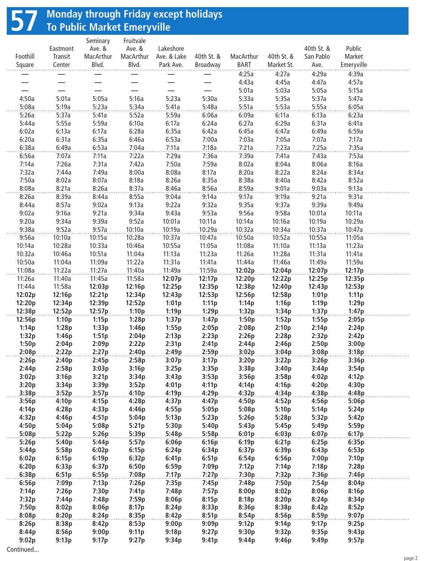## **57 Monday through Friday except holidays To Public Market Emeryville**

|                  |                  | Seminary         | Fruitvale      |                  |                  |                  |                |                  |                  |  |
|------------------|------------------|------------------|----------------|------------------|------------------|------------------|----------------|------------------|------------------|--|
|                  | Eastmont         | Ave. &           | Ave. &         | Lakeshore        |                  |                  |                | 40th St. &       | Public           |  |
| Foothill         | Transit          | MacArthur        | MacArthur      | Ave. & Lake      | 40th St. &       | MacArthur        | 40th St. &     | San Pablo        | Market           |  |
| Square           | Center           | Blvd.            | Blvd.          | Park Ave.        | Broadway         | BART             | Market St.     | Ave.             | Emeryville       |  |
|                  |                  |                  |                |                  |                  | 4:25a            | 4:27a          | 4:29a            | 4:39a            |  |
|                  |                  |                  |                |                  |                  | 4:43a            | 4:45a          | 4:47a            | 4:57a            |  |
|                  |                  |                  |                |                  |                  | 5:01a            | 5:03a          | 5:05a            | 5:15a            |  |
| 4:50a            | 5:01a            | 5:05a            | 5:16a          | 5:23a            | 5:30a            | 5:33a            | 5:35a          | 5:37a            | 5:47a            |  |
| 5:08a            | 5:19a            | 5:23a            | 5:34a          | 5:41a            | 5:48a            | 5:51a            | 5:53a          | 5:55a            | 6:05a            |  |
| 5:26a            | 5:37a            | 5:41a            | 5:52a          | 5:59a            | 6:06a            | 6:09a            | 6:11a          | 6:13a            | 6:23a            |  |
| 5:44a            | 5:55a            | 5:59a            | 6:10a          | 6:17a            | 6:24a            | 6:27a            | 6:29a          | 6:31a            | 6:41a            |  |
| 6:02a            | 6:13a            | 6:17a            | 6:28a          | 6:35a            | 6:42a            | 6:45a            | 6:47a          | 6:49a            | 6:59a            |  |
| 6:20a            | 6:31a            | 6:35a            | 6:46a          | 6:53a            | 7:00a            | 7:03a            | 7:05a          | 7:07a            | 7:17a            |  |
| 6:38a            | 6:49a            | 6:53a            | 7:04a          | 7:11a            | 7:18a            | 7:21a            | 7:23a          | 7:25a            | 7:35a            |  |
| 6:56a            | 7:07a            | 7:11a            | 7:22a          | 7:29a            | 7:36a            | 7:39a            | 7:41a          | 7:43a            | 7:53a            |  |
| 7:14a            | 7:26a            | 7:31a            | 7:42a          | 7:50a            | 7:59a            | 8:02a            | 8:04a          | 8:06a            | 8:16a            |  |
| 7:32a            | 7:44a            | 7:49a            | 8:00a          | 8:08a            | 8:17a            | 8:20a            | 8:22a          | 8:24a            | 8:34a            |  |
| 7:50a            | 8:02a            | 8:07a            | 8:18a          | 8:26a            | 8:35a            | 8:38a            | 8:40a          | 8:42a            | 8:52a            |  |
| 8:08a            | 8:21a            | 8:26a            | 8:37a          | 8:46a            | 8:56a            | 8:59a            | 9:01a          | 9:03a            | 9:13a            |  |
| 8:26a            | 8:39a            | 8:44a            | 8:55a          | 9:04a            | 9:14a            | 9:17a            | 9:19a          | 9:21a            | 9:31a            |  |
| 8:44a            | 8:57a            | 9:02a            | 9:13a          | 9:22a            | 9:32a            | 9:35a            | 9:37a          | 9:39a            | 9:49a            |  |
| 9:02a            | 9:16a            | 9:21a            | 9:34a          | 9:43a            | 9:53a            | 9:56a            | 9:58a          | 10:01a           | 10:11a           |  |
| 9:20a            | 9:34a            | 9:39a            | 9:52a          | 10:01a           | 10:11a           | 10:14a           | 10:16a         | 10:19a           | 10:29a           |  |
| 9:38a            | 9:52a            | 9:57a            | 10:10a         | 10:19a           | 10:29a           | 10:32a           | 10:34a         | 10:37a           | 10:47a           |  |
| 9:56a            | 10:10a           | 10:15a           | 10:28a         | 10:37a           | 10:47a           | 10:50a           | 10:52a         | 10:55a           | 11:05a           |  |
| 10:14a           | 10:28a           | 10:33a           | 10:46a         | 10:55a           | 11:05a           | 11:08a           | 11:10a         | 11:13a           | 11:23a           |  |
| 10:32a           | 10:46a           | 10:51a           | 11:04a         | 11:13a           | 11:23a           | 11:26a           | 11:28a         | 11:31a           | 11:41a           |  |
| 10:50a           | 11:04a           | 11:09a           | 11:22a         | 11:31a           | 11:41a           | 11:44a           | 11:46a         | 11:49a           | 11:59a           |  |
| 11:08a           | 11:22a           | 11:27a           | 11:40a         | 11:49a           | 11:59a           | 12:02p           | 12:04p         | 12:07p           | 12:17p           |  |
|                  |                  |                  | 11:58a         |                  |                  |                  | 12:22p         |                  |                  |  |
| 11:26a<br>11:44a | 11:40a<br>11:58a | 11:45a<br>12:03p | 12:16p         | 12:07p<br>12:25p | 12:17p<br>12:35p | 12:20p<br>12:38p | 12:40p         | 12:25p<br>12:43p | 12:35p<br>12:53p |  |
| 12:02p           | 12:16p           | 12:21p           | 12:34p         | 12:43p           | 12:53p           | 12:56p           | 12:58p         | 1:01p            | 1:11p            |  |
| 12:20p           | 12:34p           | 12:39p           | 12:52p         | 1:01p            | 1:11p            | 1:14p            | 1:16p          | 1:19p            | 1:29p            |  |
| 12:38p           | 12:52p           | 12:57p           | 1:10p          | 1:19p            | 1:29p            | 1:32p            | 1:34p          | 1:37p            | 1:47p            |  |
| 12:56p           |                  |                  | 1:28p          |                  |                  | 1:50p            |                |                  |                  |  |
|                  | 1:10p            | 1:15p            |                | 1:37p            | 1:47p            |                  | 1:52p<br>2:10p | 1:55p            | 2:05p            |  |
| 1:14p<br>1:32p   | 1:28p            | 1:33p<br>1:51p   | 1:46p          | 1:55p<br>2:13p   | 2:05p<br>2:23p   | 2:08p<br>2:26p   | 2:28p          | 2:14p<br>2:32p   | 2:24p<br>2:42p   |  |
|                  | 1:46p            |                  | 2:04p          |                  |                  |                  |                |                  |                  |  |
| 1:50p<br>2:08p   | 2:04p            | 2:09p<br>2:27p   | 2:22p          | 2:31p            | 2:41p            | 2:44p            | 2:46p          | 2:50p            | 3:00p            |  |
| 2:26p            | 2:22p            |                  | 2:40p          | 2:49p            | 2:59p            | 3:02p<br>3:20p   | 3:04p          | 3:08p            | 3:18p<br>3:36p   |  |
| 2:44p            | 2:40p<br>2:58p   | 2:45p<br>3:03p   | 2:58p<br>3:16p | 3:07p<br>3:25p   | 3:17p<br>3:35p   | 3:38p            | 3:22p<br>3:40p | 3:26p<br>3:44p   | 3:54p            |  |
|                  |                  |                  |                |                  |                  |                  |                |                  |                  |  |
| 3:02p<br>3:20p   | 3:16p<br>3:34p   | 3:21p<br>3:39p   | 3:34p<br>3:52p | 3:43p<br>4:01p   | 3:53p<br>4:11p   | 3:56p<br>4:14p   | 3:58p<br>4:16p | 4:02p<br>4:20p   | 4:12p<br>4:30p   |  |
| 3:38p            | 3:52p            |                  | 4:10p          | 4:19p            | 4:29p            | 4:32p            |                | 4:38p            | 4:48p            |  |
| 3:56p            | 4:10p            | 3:57p<br>4:15p   | 4:28p          | 4:37p            | 4:47p            | 4:50p            | 4:34p<br>4:52p | 4:56p            | 5:06p            |  |
|                  |                  | 4:33p            |                |                  |                  |                  |                |                  |                  |  |
| 4:14p<br>4:32p   | 4:28p<br>4:46p   | 4:51p            | 4:46p<br>5:04p | 4:55p<br>5:13p   | 5:05p<br>5:23p   | 5:08p<br>5:26p   | 5:10p<br>5:28p | 5:14p<br>5:32p   | 5:24p<br>5:42p   |  |
| 4:50p            |                  | 5:08p            |                |                  | 5:40p            |                  |                |                  |                  |  |
| 5:08p            | 5:04p<br>5:22p   | 5:26p            | 5:21p<br>5:39p | 5:30p<br>5:48p   | 5:58p            | 5:43p<br>6:01p   | 5:45p<br>6:03p | 5:49p<br>6:07p   | 5:59p<br>6:17p   |  |
|                  |                  |                  |                |                  |                  |                  |                |                  | 6:35p            |  |
| 5:26p            | 5:40p<br>5:58p   | 5:44p<br>6:02p   | 5:57p<br>6:15p | 6:06p            | 6:16p            | 6:19p<br>6:37p   | 6:21p<br>6:39p | 6:25p            |                  |  |
| 5:44p            |                  |                  |                | 6:24p            | 6:34p            |                  |                | 6:43p            | 6:53p            |  |
| 6:02p            | 6:15p            | 6:19p            | 6:32p          | 6:41p            | 6:51p            | 6:54p            | 6:56p          | 7:00p            | 7:10p            |  |
| 6:20p            | 6:33p            | 6:37p            | 6:50p          | 6:59p            | 7:09p            | 7:12p            | 7:14p<br>7:32p | 7:18p            | 7:28p            |  |
| 6:38p            | 6:51p            | 6:55p            | 7:08p          | 7:17p            | 7:27p            | 7:30p            |                | 7:36p            | 7:46p            |  |
| 6:56p            | 7:09p            | 7:13p            | 7:26p          | 7:35p            | 7:45p            | 7:48p            | 7:50p          | 7:54p            | 8:04p            |  |
| 7:14p            | 7:26p            | 7:30p            | 7:41p          | 7:48p            | 7:57p            | 8:00p            | 8:02p          | 8:06p            | 8:16p            |  |
| 7:32p            | 7:44p            | 7:48p            | 7:59p          | 8:06p            | 8:15p            | 8:18p            | 8:20p          | 8:24p            | 8:34p            |  |
| 7:50p            | 8:02p            | 8:06p            | 8:17p          | 8:24p            | 8:33p            | 8:36p            | 8:38p          | 8:42p            | 8:52p            |  |
| 8:08p            | 8:20p            | 8:24p            | 8:35p          | 8:42p            | 8:51p            | 8:54p            | 8:56p          | 8:59p            | 9:07p            |  |
| 8:26p            | 8:38p            | 8:42p            | 8:53p          | 9:00p            | 9:09p            | 9:12p            | 9:14p          | 9:17p            | 9:25p            |  |
| 8:44p            | 8:56p            | 9:00p            | 9:11p          | 9:18p            | 9:27p            | 9:30p            | 9:32p          | 9:35p            | 9:43p            |  |
| 9:02p            | 9:13p            | 9:17p            | 9:27p          | 9:34p            | 9:41p            | 9:44p            | 9:46p          | 9:49p            | 9:57p            |  |
| Continued        |                  |                  |                |                  |                  |                  |                |                  |                  |  |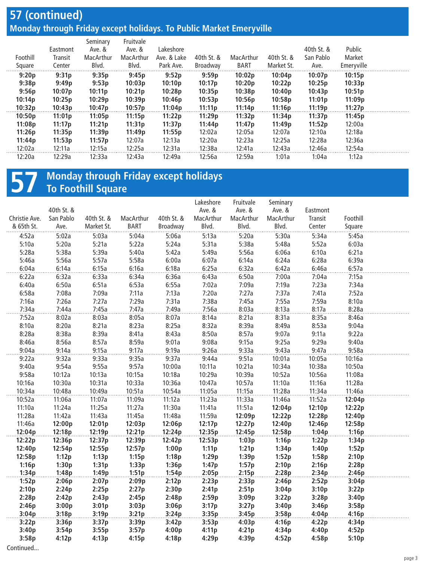#### **57 (continued) Monday through Friday except holidays. To Public Market Emeryville**

| Foothill<br>Square | Eastmont<br>Transit<br>Center | Seminary<br>Ave. &<br>MacArthur<br>Blvd. | Fruitvale<br>Ave. &<br>MacArthur<br>Blvd. | Lakeshore<br>Ave. & Lake<br>Park Ave. | 40th St. &<br>Broadway | MacArthur<br><b>BART</b> | 40th St. &<br>Market St. | 40th St. &<br>San Pablo<br>Ave. | Public<br>Market<br>Emeryville |  |
|--------------------|-------------------------------|------------------------------------------|-------------------------------------------|---------------------------------------|------------------------|--------------------------|--------------------------|---------------------------------|--------------------------------|--|
| 9:20p              | 9:31p                         | 9:35p                                    | 9:45p                                     | 9:52p                                 | 9:59p                  | 10:02p                   | 10:04p                   | 10:07p                          | 10:15p                         |  |
| 9:38p              | 9:49p                         | 9:53p                                    | 10:03p                                    | 10:10p                                | 10:17p                 | 10:20p                   | 10:22p                   | 10:25p                          | 10:33p                         |  |
| 9:56p              | 10:07p                        | 10:11p                                   | 10:21p                                    | 10:28p                                | 10:35p                 | 10:38p                   | 10:40p                   | 10:43p                          | 10:51p                         |  |
| 10:14p             | 10:25p                        | 10:29p                                   | 10:39p                                    | 10:46p                                | 10:53p                 | 10:56p                   | 10:58p                   | 11:01p                          | 11:09p                         |  |
| 10:32p             | 10:43p                        | 10:47p                                   | 10:57p                                    | 11:04p                                | 11:11p                 | 11:14p                   | 11:16p                   | 11:19p                          | 11:27p                         |  |
| 10:50p             | 11:01p                        | 11:05p                                   | 11:15p                                    | 11:22p                                | 11:29p                 | 11:32p                   | 11:34p                   | 11:37p                          | 11:45p                         |  |
| 11:08p             | 11:17p                        | 11:21p                                   | 11:31p                                    | 11:37p                                | 11:44p                 | 11:47p                   | 11:49p                   | 11:52p                          | 12:00a                         |  |
| 11:26p             | 11:35p                        | 11:39p                                   | 11:49p                                    | 11:55p                                | 12:02a                 | 12:05a                   | 12:07a                   | 12:10a                          | 12:18a                         |  |
| 11:44p             | 11:53p                        | 11:57p                                   | 12:07a                                    | 12:13a                                | 12:20a                 | 12:23a                   | 12:25a                   | 12:28a                          | 12:36a                         |  |
| 12:02a             | 12:11a                        | 12:15a                                   | 12:25a                                    | 12:31a                                | 12:38a                 | 12:41a                   | 12:43a                   | 12:46a                          | 12:54a                         |  |
| 12:20a             | 12:29a                        | 12:33a                                   | 12:43a                                    | 12:49a                                | 12:56a                 | 12:59a                   | 1:01a                    | 1:04a                           | 1:12a                          |  |
|                    |                               |                                          |                                           |                                       |                        |                          |                          |                                 |                                |  |

### **57** Monday through Friday except holidays<br> **57** To Foothill Square **To Foothill Square**

|               |            |            |             |            | Lakeshore | Fruitvale | Seminary  |          |          |  |
|---------------|------------|------------|-------------|------------|-----------|-----------|-----------|----------|----------|--|
|               | 40th St. & |            |             |            | Ave. &    | Ave. &    | Ave. &    | Eastmont |          |  |
| Christie Ave. | San Pablo  | 40th St. & | MacArthur   | 40th St. & | MacArthur | MacArthur | MacArthur | Transit  | Foothill |  |
| & 65th St.    | Ave.       | Market St. | <b>BART</b> | Broadway   | Blvd.     | Blvd.     | Blvd.     | Center   | Square   |  |
| 4:52a         | 5:02a      | 5:03a      | 5:04a       | 5:06a      | 5:13a     | 5:20a     | 5:30a     | 5:34a    | 5:45a    |  |
| 5:10a         | 5:20a      | 5:21a      | 5:22a       | 5:24a      | 5:31a     | 5:38a     | 5:48a     | 5:52a    | 6:03a    |  |
| 5:28a         | 5:38a      | 5:39a      | 5:40a       | 5:42a      | 5:49a     | 5:56a     | 6:06a     | 6:10a    | 6:21a    |  |
| 5:46a         | 5:56a      | 5:57a      | 5:58a       | 6:00a      | 6:07a     | 6:14a     | 6:24a     | 6:28a    | 6:39a    |  |
| 6:04a         | 6:14a      | 6:15a      | 6:16a       | 6:18a      | 6:25a     | 6:32a     | 6:42a     | 6:46a    | 6:57a    |  |
| 6:22a         | 6:32a      | 6:33a      | 6:34a       | 6:36a      | 6:43a     | 6:50a     | 7:00a     | 7:04a    | 7:15a    |  |
| 6:40a         | 6:50a      | 6:51a      | 6:53a       | 6:55a      | 7:02a     | 7:09a     | 7:19a     | 7:23a    | 7:34a    |  |
| 6:58a         | 7:08a      | 7:09a      | 7:11a       | 7:13a      | 7:20a     | 7:27a     | 7:37a     | 7:41a    | 7:52a    |  |
| 7:16a         | 7:26a      | 7:27a      | 7:29a       | 7:31a      | 7:38a     | 7:45a     | 7:55a     | 7:59a    | 8:10a    |  |
| 7:34a         | 7:44a      | 7:45a      | 7:47a       | 7:49a      | 7:56a     | 8:03a     | 8:13a     | 8:17a    | 8:28a    |  |
| 7:52a         | 8:02a      | 8:03a      | 8:05a       | 8:07a      | 8:14a     | 8:21a     | 8:31a     | 8:35a    | 8:46a    |  |
| 8:10a         | 8:20a      | 8:21a      | 8:23a       | 8:25a      | 8:32a     | 8:39a     | 8:49a     | 8:53a    | 9:04a    |  |
| 8:28a         | 8:38a      | 8:39a      | 8:41a       | 8:43a      | 8:50a     | 8:57a     | 9:07a     | 9:11a    | 9:22a    |  |
| 8:46a         | 8:56a      | 8:57a      | 8:59a       | 9:01a      | 9:08a     | 9:15a     | 9:25a     | 9:29a    | 9:40a    |  |
| 9:04a         | 9:14a      | 9:15a      | 9:17a       | 9:19a      | 9:26a     | 9:33a     | 9:43a     | 9:47a    | 9:58a    |  |
| 9:22a         | 9:32a      | 9:33a      | 9:35a       | 9:37a      | 9:44a     | 9:51a     | 10:01a    | 10:05a   | 10:16a   |  |
| 9:40a         | 9:54a      | 9:55a      | 9:57a       | 10:00a     | 10:11a    | 10:21a    | 10:34a    | 10:38a   | 10:50a   |  |
| 9:58a         | 10:12a     | 10:13a     | 10:15a      | 10:18a     | 10:29a    | 10:39a    | 10:52a    | 10:56a   | 11:08a   |  |
| 10:16a        | 10:30a     | 10:31a     | 10:33a      | 10:36a     | 10:47a    | 10:57a    | 11:10a    | 11:16a   | 11:28a   |  |
| 10:34a        | 10:48a     | 10:49a     | 10:51a      | 10:54a     | 11:05a    | 11:15a    | 11:28a    | 11:34a   | 11:46a   |  |
| 10:52a        | 11:06a     | 11:07a     | 11:09a      | 11:12a     | 11:23a    | 11:33a    | 11:46a    | 11:52a   | 12:04p   |  |
| 11:10a        | 11:24a     | 11:25a     | 11:27a      | 11:30a     | 11:41a    | 11:51a    | 12:04p    | 12:10p   | 12:22p   |  |
| 11:28a        | 11:42a     | 11:43a     | 11:45a      | 11:48a     | 11:59a    | 12:09p    | 12:22p    | 12:28p   | 12:40p   |  |
| 11:46a        | 12:00p     | 12:01p     | 12:03p      | 12:06p     | 12:17p    | 12:27p    | 12:40p    | 12:46p   | 12:58p   |  |
| 12:04p        | 12:18p     | 12:19p     | 12:21p      | 12:24p     | 12:35p    | 12:45p    | 12:58p    | 1:04p    | 1:16p    |  |
| 12:22p        | 12:36p     | 12:37p     | 12:39p      | 12:42p     | 12:53p    | 1:03p     | 1:16p     | 1:22p    | 1:34p    |  |
| 12:40p        | 12:54p     | 12:55p     | 12:57p      | 1:00p      | 1:11p     | 1:21p     | 1:34p     | 1:40p    | 1:52p    |  |
| 12:58p        | 1:12p      | 1:13p      | 1:15p       | 1:18p      | 1:29p     | 1:39p     | 1:52p     | 1:58p    | 2:10p    |  |
| 1:16p         | 1:30p      | 1:31p      | 1:33p       | 1:36p      | 1:47p     | 1:57p     | 2:10p     | 2:16p    | 2:28p    |  |
| 1:34p         | 1:48p      | 1:49p      | 1:51p       | 1:54p      | 2:05p     | 2:15p     | 2:28p     | 2:34p    | 2:46p    |  |
| 1:52p         | 2:06p      | 2:07p      | 2:09p       | 2:12p      | 2:23p     | 2:33p     | 2:46p     | 2:52p    | 3:04p    |  |
| 2:10p         | 2:24p      | 2:25p      | 2:27p       | 2:30p      | 2:41p     | 2:51p     | 3:04p     | 3:10p    | 3:22p    |  |
| 2:28p         | 2:42p      | 2:43p      | 2:45p       | 2:48p      | 2:59p     | 3:09p     | 3:22p     | 3:28p    | 3:40p    |  |
| 2:46p         | 3:00p      | 3:01p      | 3:03p       | 3:06p      | 3:17p     | 3:27p     | 3:40p     | 3:46p    | 3:58p    |  |
| 3:04p         | 3:18p      | 3:19p      | 3:21p       | 3:24p      | 3:35p     | 3:45p     | 3:58p     | 4:04p    | 4:16p    |  |
| 3:22p         | 3:36p      | 3:37p      | 3:39p       | 3:42p      | 3:53p     | 4:03p     | 4:16p     | 4:22p    | 4:34p    |  |
| 3:40p         | 3:54p      | 3:55p      | 3:57p       | 4:00p      | 4:11p     | 4:21p     | 4:34p     | 4:40p    | 4:52p    |  |
| 3:58p         | 4:12p      | 4:13p      | 4:15p       | 4:18p      | 4:29p     | 4:39p     | 4:52p     | 4:58p    | 5:10p    |  |
| Continued     |            |            |             |            |           |           |           |          |          |  |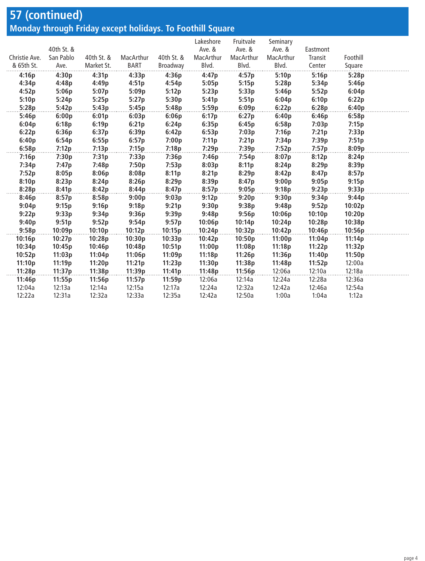## **57 (continued) Monday through Friday except holidays. To Foothill Square**

|               |            |            |           |            | Lakeshore | Fruitvale | Seminary  |          |          |  |
|---------------|------------|------------|-----------|------------|-----------|-----------|-----------|----------|----------|--|
|               | 40th St. & |            |           |            | Ave. &    | Ave. &    | Ave. &    | Eastmont |          |  |
| Christie Ave. | San Pablo  | 40th St. & | MacArthur | 40th St. & | MacArthur | MacArthur | MacArthur | Transit  | Foothill |  |
| & 65th St.    | Ave.       | Market St. | BART      | Broadway   | Blvd.     | Blvd.     | Blvd.     | Center   | Square   |  |
| 4:16p         | 4:30p      | 4:31p      | 4:33p     | 4:36p      | 4:47p     | 4:57p     | 5:10p     | 5:16p    | 5:28p    |  |
| 4:34p         | 4:48p      | 4:49p      | 4:51p     | 4:54p      | 5:05p     | 5:15p     | 5:28p     | 5:34p    | 5:46p    |  |
| 4:52p         | 5:06p      | 5:07p      | 5:09p     | 5:12p      | 5:23p     | 5:33p     | 5:46p     | 5:52p    | 6:04p    |  |
| 5:10p         | 5:24p      | 5:25p      | 5:27p     | 5:30p      | 5:41p     | 5:51p     | 6:04p     | 6:10p    | 6:22p    |  |
| 5:28p         | 5:42p      | 5:43p      | 5:45p     | 5:48p      | 5:59p     | 6:09p     | 6:22p     | 6:28p    | 6:40p    |  |
| 5:46p         | 6:00p      | 6:01p      | 6:03p     | 6:06p      | 6:17p     | 6:27p     | 6:40p     | 6:46p    | 6:58p    |  |
| 6:04p         | 6:18p      | 6:19p      | 6:21p     | 6:24p      | 6:35p     | 6:45p     | 6:58p     | 7:03p    | 7:15p    |  |
| 6:22p         | 6:36p      | 6:37p      | 6:39p     | 6:42p      | 6:53p     | 7:03p     | 7:16p     | 7:21p    | 7:33p    |  |
| 6:40p         | 6:54p      | 6:55p      | 6:57p     | 7:00p      | 7:11p     | 7:21p     | 7:34p     | 7:39p    | 7:51p    |  |
| 6:58p         | 7:12p      | 7:13p      | 7:15p     | 7:18p      | 7:29p     | 7:39p     | 7:52p     | 7:57p    | 8:09p    |  |
| 7:16p         | 7:30p      | 7:31p      | 7:33p     | 7:36p      | 7:46p     | 7:54p     | 8:07p     | 8:12p    | 8:24p    |  |
| 7:34p         | 7:47p      | 7:48p      | 7:50p     | 7:53p      | 8:03p     | 8:11p     | 8:24p     | 8:29p    | 8:39p    |  |
| 7:52p         | 8:05p      | 8:06p      | 8:08p     | 8:11p      | 8:21p     | 8:29p     | 8:42p     | 8:47p    | 8:57p    |  |
| 8:10p         | 8:23p      | 8:24p      | 8:26p     | 8:29p      | 8:39p     | 8:47p     | 9:00p     | 9:05p    | 9:15p    |  |
| 8:28p         | 8:41p      | 8:42p      | 8:44p     | 8:47p      | 8:57p     | 9:05p     | 9:18p     | 9:23p    | 9:33p    |  |
| 8:46p         | 8:57p      | 8:58p      | 9:00p     | 9:03p      | 9:12p     | 9:20p     | 9:30p     | 9:34p    | 9:44p    |  |
| 9:04p         | 9:15p      | 9:16p      | 9:18p     | 9:21p      | 9:30p     | 9:38p     | 9:48p     | 9:52p    | 10:02p   |  |
| 9:22p         | 9:33p      | 9:34p      | 9:36p     | 9:39p      | 9:48p     | 9:56p     | 10:06p    | 10:10p   | 10:20p   |  |
| 9:40p         | 9:51p      | 9:52p      | 9:54p     | 9:57p      | 10:06p    | 10:14p    | 10:24p    | 10:28p   | 10:38p   |  |
| 9:58p         | 10:09p     | 10:10p     | 10:12p    | 10:15p     | 10:24p    | 10:32p    | 10:42p    | 10:46p   | 10:56p   |  |
| 10:16p        | 10:27p     | 10:28p     | 10:30p    | 10:33p     | 10:42p    | 10:50p    | 11:00p    | 11:04p   | 11:14p   |  |
| 10:34p        | 10:45p     | 10:46p     | 10:48p    | 10:51p     | 11:00p    | 11:08p    | 11:18p    | 11:22p   | 11:32p   |  |
| 10:52p        | 11:03p     | 11:04p     | 11:06p    | 11:09p     | 11:18p    | 11:26p    | 11:36p    | 11:40p   | 11:50p   |  |
| 11:10p        | 11:19p     | 11:20p     | 11:21p    | 11:23p     | 11:30p    | 11:38p    | 11:48p    | 11:52p   | 12:00a   |  |
| 11:28p        | 11:37p     | 11:38p     | 11:39p    | 11:41p     | 11:48p    | 11:56p    | 12:06a    | 12:10a   | 12:18a   |  |
| 11:46p        | 11:55p     | 11:56p     | 11:57p    | 11:59p     | 12:06a    | 12:14a    | 12:24a    | 12:28a   | 12:36a   |  |
| 12:04a        | 12:13a     | 12:14a     | 12:15a    | 12:17a     | 12:24a    | 12:32a    | 12:42a    | 12:46a   | 12:54a   |  |
| 12:22a        | 12:31a     | 12:32a     | 12:33a    | 12:35a     | 12:42a    | 12:50a    | 1:00a     | 1:04a    | 1:12a    |  |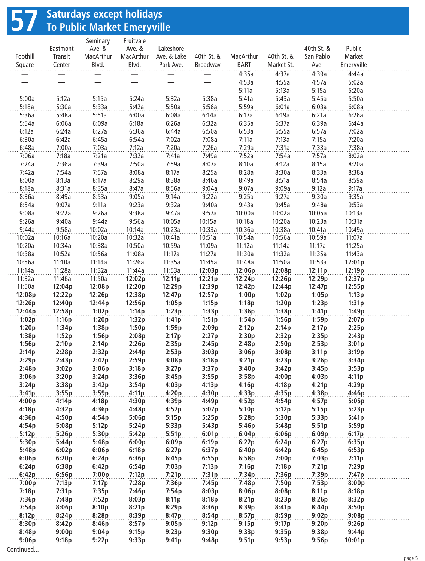## **57 Saturdays except holidays To Public Market Emeryville**

|                  |                   | Seminary            | Fruitvale                |                          |                  |                  |                  |                         |                  |  |
|------------------|-------------------|---------------------|--------------------------|--------------------------|------------------|------------------|------------------|-------------------------|------------------|--|
| Foothill         | Eastmont          | Ave. &<br>MacArthur | Ave. &<br>MacArthur      | Lakeshore<br>Ave. & Lake | 40th St. &       | MacArthur        | 40th St. &       | 40th St. &<br>San Pablo | Public<br>Market |  |
| Square           | Transit<br>Center | Blvd.               | Blvd.                    | Park Ave.                | Broadway         | BART             | Market St.       | Ave.                    | Emeryville       |  |
|                  |                   |                     |                          |                          |                  | 4:35a            | 4:37a            | 4:39a                   | 4:44a            |  |
|                  |                   |                     |                          |                          |                  | 4:53a            | 4:55a            | 4:57a                   | 5:02a            |  |
|                  |                   |                     | $\overline{\phantom{0}}$ |                          |                  | 5:11a            | 5:13a            | 5:15a                   | 5:20a            |  |
| 5:00a            | 5:12a             | 5:15a               | 5:24a                    | 5:32a                    | 5:38a            | 5:41a            | 5:43a            | 5:45a                   | 5:50a            |  |
| 5:18a            | 5:30a             | 5:33a               | 5:42a                    | 5:50a                    | 5:56a            | 5:59a            | 6:01a            | 6:03a                   | 6:08a            |  |
| 5:36a            | 5:48a             | 5:51a               | 6:00a                    | 6:08a                    | 6:14a            | 6:17a            | 6:19a            | 6:21a                   | 6:26a            |  |
| 5:54a            | 6:06a             | 6:09a               | 6:18a                    | 6:26a                    | 6:32a            | 6:35a            | 6:37a            | 6:39a                   | 6:44a            |  |
| 6:12a            | 6:24a             | 6:27a               | 6:36a                    | 6:44a                    | 6:50a            | 6:53a            | 6:55a            | 6:57a                   | 7:02a            |  |
| 6:30a            | 6:42a             | 6:45a               | 6:54a                    | 7:02a                    | 7:08a            | 7:11a            | 7:13a            | 7:15a                   | 7:20a            |  |
| 6:48a            | 7:00a             | 7:03a               | 7:12a                    | 7:20a                    | 7:26a            | 7:29a            | 7:31a            | 7:33a                   | 7:38a            |  |
| 7:06a            | 7:18a             | 7:21a               | 7:32a                    | 7:41a                    | 7:49a            | 7:52a            | 7:54a            | 7:57a                   | 8:02a            |  |
| 7:24a<br>7:42a   | 7:36a<br>7:54a    | 7:39a<br>7:57a      | 7:50a<br>8:08a           | 7:59a<br>8:17a           | 8:07a<br>8:25a   | 8:10a<br>8:28a   | 8:12a<br>8:30a   | 8:15a<br>8:33a          | 8:20a<br>8:38a   |  |
| 8:00a            | 8:13a             | 8:17a               | 8:29a                    | 8:38a                    | 8:46a            | 8:49a            | 8:51a            | 8:54a                   | 8:59a            |  |
| 8:18a            | 8:31a             | 8:35a               | 8:47a                    | 8:56a                    | 9:04a            | 9:07a            | 9:09a            | 9:12a                   | 9:17a            |  |
| 8:36a            | 8:49a             | 8:53a               | 9:05a                    | 9:14a                    | 9:22a            | 9:25a            | 9:27a            | 9:30a                   | 9:35a            |  |
| 8:54a            | 9:07a             | 9:11a               | 9:23a                    | 9:32a                    | 9:40a            | 9:43a            | 9:45a            | 9:48a                   | 9:53a            |  |
| 9:08a            | 9:22a             | 9:26a               | 9:38a                    | 9:47a                    | 9:57a            | 10:00a           | 10:02a           | 10:05a                  | 10:13a           |  |
| 9:26a            | 9:40a             | 9:44a               | 9:56a                    | 10:05a                   | 10:15a           | 10:18a           | 10:20a           | 10:23a                  | 10:31a           |  |
| 9:44a            | 9:58a             | 10:02a              | 10:14a                   | 10:23a                   | 10:33a           | 10:36a           | 10:38a           | 10:41a                  | 10:49a           |  |
| 10:02a           | 10:16a            | 10:20a              | 10:32a                   | 10:41a                   | 10:51a           | 10:54a           | 10:56a           | 10:59a                  | 11:07a           |  |
| 10:20a           | 10:34a            | 10:38a              | 10:50a                   | 10:59a                   | 11:09a           | 11:12a           | 11:14a           | 11:17a                  | 11:25a           |  |
| 10:38a           | 10:52a            | 10:56a              | 11:08a                   | 11:17a                   | 11:27a           | 11:30a           | 11:32a           | 11:35a                  | 11:43a           |  |
| 10:56a           | 11:10a            | 11:14a              | 11:26a                   | 11:35a                   | 11:45a           | 11:48a           | 11:50a           | 11:53a                  | 12:01p           |  |
| 11:14a           | 11:28a            | 11:32a              | 11:44a                   | 11:53a                   | 12:03p           | 12:06p           | 12:08p           | 12:11p                  | 12:19p           |  |
| 11:32a<br>11:50a | 11:46a<br>12:04p  | 11:50a<br>12:08p    | 12:02p<br>12:20p         | 12:11p<br>12:29p         | 12:21p<br>12:39p | 12:24p<br>12:42p | 12:26p<br>12:44p | 12:29p<br>12:47p        | 12:37p<br>12:55p |  |
| 12:08p           | 12:22p            | 12:26p              | 12:38p                   | 12:47p                   | 12:57p           | 1:00p            | 1:02p            | 1:05p                   | 1:13p            |  |
| 12:26p           | 12:40p            | 12:44p              | 12:56p                   | 1:05p                    | 1:15p            | 1:18p            | 1:20p            | 1:23p                   | 1:31p            |  |
| 12:44p           | 12:58p            | 1:02p               | 1:14p                    | 1:23p                    | 1:33p            | 1:36p            | 1:38p            | 1:41p                   | 1:49p            |  |
| 1:02p            | 1:16p             | 1:20p               | 1:32p                    | 1:41p                    | 1:51p            | 1:54p            | 1:56p            | 1:59p                   | 2:07p            |  |
| 1:20p            | 1:34p             | 1:38p               | 1:50p                    | 1:59p                    | 2:09p            | 2:12p            | 2:14p            | 2:17p                   | 2:25p            |  |
| 1:38p            | 1:52p             | 1:56p               | 2:08p                    | 2:17p                    | 2:27p            | 2:30p            | 2:32p            | 2:35p                   | 2:43p            |  |
| 1:56p            | 2:10p             | 2:14p               | 2:26p                    | 2:35p                    | 2:45p            | 2:48p            | 2:50p            | 2:53p                   | 3:01p            |  |
| 2:14p            | 2:28p             | 2:32p               | 2:44p                    | 2:53p                    | 3:03p            | 3:06p            | 3:08p            | 3:11p                   | 3:19p            |  |
| 2:29p            | 2:43p             | 2:47p               | 2:59p                    | 3:08p                    | 3:18p            | 3:21p            | 3:23p            | 3:26p                   | 3:34p            |  |
| 2:48p            | 3:02p             | 3:06p               | 3:18p                    | 3:27p                    | 3:37p            | 3:40p            | 3:42p            | 3:45p                   | 3:53p            |  |
| 3:06p<br>3:24p   | 3:20p<br>3:38p    | 3:24p<br>3:42p      | 3:36p<br>3:54p           | 3:45p<br>4:03p           | 3:55p<br>4:13p   | 3:58p<br>4:16p   | 4:00p<br>4:18p   | 4:03p<br>4:21p          | 4:11p<br>4:29p   |  |
| 3:41p            | 3:55p             | 3:59p               | 4:11p                    | 4:20p                    | 4:30p            | 4:33p            | 4:35p            | 4:38p                   | 4:46p            |  |
| 4:00p            | 4:14p             | 4:18p               | 4:30p                    | 4:39p                    | 4:49p            | 4:52p            | 4:54p            | 4:57p                   | 5:05p            |  |
| 4:18p            | 4:32p             | 4:36p               | 4:48p                    | 4:57p                    | 5:07p            | 5:10p            | 5:12p            | 5:15p                   | 5:23p            |  |
| 4:36p            | 4:50p             | 4:54p               | 5:06p                    | 5:15p                    | 5:25p            | 5:28p            | 5:30p            | 5:33p                   | 5:41p            |  |
| 4:54p            | 5:08p             | 5:12p               | 5:24p                    | 5:33p                    | 5:43p            | 5:46p            | 5:48p            | 5:51p                   | 5:59p            |  |
| 5:12p            | 5:26p             | 5:30p               | 5:42p                    | 5:51p                    | 6:01p            | 6:04p            | 6:06p            | 6:09p                   | 6:17p            |  |
| 5:30p            | 5:44p             | 5:48p               | 6:00p                    | 6:09p                    | 6:19p            | 6:22p            | 6:24p            | 6:27p                   | 6:35p            |  |
| 5:48p            | 6:02p             | 6:06p               | 6:18p                    | 6:27p                    | 6:37p            | 6:40p            | 6:42p            | 6:45p                   | 6:53p            |  |
| 6:06p            | 6:20p             | 6:24p               | 6:36p                    | 6:45p                    | 6:55p            | 6:58p            | 7:00p            | 7:03p                   | 7:11p            |  |
| 6:24p            | 6:38p             | 6:42p               | 6:54p                    | 7:03p                    | 7:13p            | 7:16p            | 7:18p            | 7:21p                   | 7:29p            |  |
| 6:42p<br>7:00p   | 6:56p<br>7:13p    | 7:00p<br>7:17p      | 7:12p                    | 7:21p                    | 7:31p            | 7:34p<br>7:48p   | 7:36p            | 7:39p                   | 7:47p<br>8:00p   |  |
| 7:18p            | 7:31p             | 7:35p               | 7:28p<br>7:46p           | 7:36p<br>7:54p           | 7:45p<br>8:03p   | 8:06p            | 7:50p<br>8:08p   | 7:53p<br>8:11p          | 8:18p            |  |
| 7:36p            | 7:48p             | 7:52p               | 8:03p                    | 8:11p                    | 8:18p            | 8:21p            | 8:23p            | 8:26p                   | 8:32p            |  |
| 7:54p            | 8:06p             | 8:10p               | 8:21p                    | 8:29p                    | 8:36p            | 8:39p            | 8:41p            | 8:44p                   | 8:50p            |  |
| 8:12p            | 8:24p             | 8:28p               | 8:39p                    | 8:47p                    | 8:54p            | 8:57p            | 8:59p            | 9:02p                   | 9:08p            |  |
| 8:30p            | 8:42p             | 8:46p               | 8:57p                    | 9:05p                    | 9:12p            | 9:15p            | 9:17p            | 9:20p                   | 9:26p            |  |
| 8:48p            | 9:00p             | 9:04p               | 9:15p                    | 9:23p                    | 9:30p            | 9:33p            | 9:35p            | 9:38p                   | 9:44p            |  |
| 9:06p            | 9:18p             | 9:22p               | 9:33p                    | 9:41p                    | 9:48p            | 9:51p            | 9:53p            | 9:56p                   | 10:01p           |  |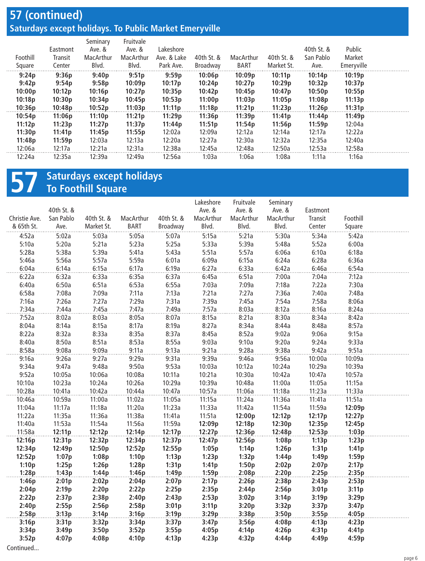#### **57 (continued) Saturdays except holidays. To Public Market Emeryville**

| Foothill<br>Square | Eastmont<br>Transit<br>Center | Seminary<br>Ave. &<br>MacArthur<br>Blvd. | Fruitvale<br>Ave. &<br>MacArthur<br>Blvd. | Lakeshore<br>Ave. & Lake<br>Park Ave. | 40th St. &<br>Broadway | MacArthur<br><b>BART</b> | 40th St. &<br>Market St. | 40th St. &<br>San Pablo<br>Ave. | Public<br>Market<br>Emeryville |  |
|--------------------|-------------------------------|------------------------------------------|-------------------------------------------|---------------------------------------|------------------------|--------------------------|--------------------------|---------------------------------|--------------------------------|--|
| 9:24p              | 9:36p                         | 9:40p                                    | 9:51p                                     | 9:59p                                 | 10:06p                 | 10:09p                   | 10:11p                   | 10:14p                          | 10:19p                         |  |
| 9:42p              | 9:54p                         | 9:58p                                    | 10:09p                                    | 10:17p                                | 10:24p                 | 10:27p                   | 10:29p                   | 10:32p                          | 10:37p                         |  |
| 10:00p             | 10:12p                        | 10:16p                                   | 10:27p                                    | 10:35p                                | 10:42p                 | 10:45p                   | 10:47p                   | 10:50p                          | 10:55p                         |  |
| 10:18p             | 10:30p                        | 10:34p                                   | 10:45p                                    | 10:53p                                | 11:00p                 | 11:03p                   | 11:05p                   | 11:08p                          | 11:13p                         |  |
| 10:36p             | 10:48p                        | 10:52p                                   | 11:03p                                    | 11:11p                                | 11:18p                 | 11:21p                   | 11:23p                   | 11:26p                          | 11:31p                         |  |
| 10:54p             | 11:06p                        | 11:10p                                   | 11:21p                                    | 11:29p                                | 11:36p                 | 11:39p                   | 11:41p                   | 11:44p                          | 11:49p                         |  |
| 11:12p             | 11:23p                        | 11:27p                                   | 11:37p                                    | 11:44p                                | 11:51p                 | 11:54p                   | 11:56p                   | 11:59p                          | 12:04a                         |  |
| 11:30p             | 11:41p                        | 11:45p                                   | 11:55p                                    | 12:02a                                | 12:09a                 | 12:12a                   | 12:14a                   | 12:17a                          | 12:22a                         |  |
| 11:48p             | 11:59p                        | 12:03a                                   | 12:13a                                    | 12:20a                                | 12:27a                 | 12:30a                   | 12:32a                   | 12:35a                          | 12:40a                         |  |
| 12:06a             | 12:17a                        | 12:21a                                   | 12:31a                                    | 12:38a                                | 12:45a                 | 12:48a                   | 12:50a                   | 12:53a                          | 12:58a                         |  |
| 12:24a             | 12:35a                        | 12:39a                                   | 12:49a                                    | 12:56a                                | 1:03a                  | 1:06a                    | 1:08a                    | 1:11a                           | 1:16a                          |  |
|                    |                               |                                          |                                           |                                       |                        |                          |                          |                                 |                                |  |

## **57 Saturdays except holidays To Foothill Square**

| 40th St. &<br>Ave. &<br>Ave. &<br>Ave. &<br>Eastmont<br>San Pablo<br>40th St. &<br>MacArthur<br>40th St. &<br>MacArthur<br>MacArthur<br>MacArthur<br>Foothill<br>Christie Ave.<br>Transit<br>& 65th St.<br><b>BART</b><br>Broadway<br>Blvd.<br>Blvd.<br>Blvd.<br>Center<br>Ave.<br>Market St.<br>Square<br>5:15a<br>4:52a<br>5:02a<br>5:03a<br>5:21a<br>5:34a<br>5:42a<br>5:05a<br>5:07a<br>5:30a<br>5:52a<br>5:10a<br>5:20a<br>5:21a<br>5:23a<br>5:25a<br>5:33a<br>5:39a<br>5:48a<br>6:00a<br>5:28a<br>5:38a<br>5:39a<br>5:41a<br>5:43a<br>5:51a<br>5:57a<br>6:06a<br>6:10a<br>6:18a<br>5:57a<br>6:09a<br>6:28a<br>5:46a<br>5:56a<br>5:59a<br>6:01a<br>6:15a<br>6:24a<br>6:36a<br>6:14a<br>6:15a<br>6:17a<br>6:19a<br>6:27a<br>6:33a<br>6:42a<br>6:46a<br>6:54a<br>6:04a<br>6:33a<br>6:35a<br>6:45a<br>6:51a<br>7:00a<br>7:04a<br>7:12a<br>6:22a<br>6:32a<br>6:37a<br>6:40a<br>6:50a<br>6:51a<br>6:53a<br>6:55a<br>7:03a<br>7:09a<br>7:18a<br>7:22a<br>7:30a<br>6:58a<br>7:08a<br>7:09a<br>7:11a<br>7:21a<br>7:27a<br>7:40a<br>7:48a<br>7:13a<br>7:36a<br>7:16a<br>7:26a<br>7:27a<br>7:29a<br>7:31a<br>7:39a<br>7:45a<br>7:54a<br>7:58a<br>8:06a<br>7:45a<br>7:47a<br>7:57a<br>8:03a<br>8:12a<br>8:24a<br>7:34a<br>7:44a<br>7:49a<br>8:16a<br>7:52a<br>8:03a<br>8:05a<br>8:15a<br>8:21a<br>8:34a<br>8:42a<br>8:02a<br>8:07a<br>8:30a<br>8:04a<br>8:14a<br>8:15a<br>8:17a<br>8:19a<br>8:27a<br>8:34a<br>8:44a<br>8:48a<br>8:57a<br>8:22a<br>8:32a<br>8:33a<br>8:35a<br>8:37a<br>8:45a<br>8:52a<br>9:02a<br>9:06a<br>9:15a<br>8:51a<br>9:33a<br>8:40a<br>8:50a<br>8:53a<br>8:55a<br>9:03a<br>9:10a<br>9:20a<br>9:24a<br>8:58a<br>9:08a<br>9:09a<br>9:11a<br>9:13a<br>9:21a<br>9:28a<br>9:38a<br>9:42a<br>9:51a<br>9:16a<br>9:26a<br>9:27a<br>9:29a<br>9:31a<br>9:39a<br>9:46a<br>9:56a<br>10:00a<br>10:09a<br>9:53a<br>9:34a<br>9:47a<br>9:48a<br>9:50a<br>10:03a<br>10:12a<br>10:24a<br>10:29a<br>10:39a<br>9:52a<br>10:05a<br>10:06a<br>10:08a<br>10:11a<br>10:21a<br>10:30a<br>10:42a<br>10:47a<br>10:57a<br>10:23a<br>10:24a<br>10:29a<br>10:39a<br>11:00a<br>11:05a<br>11:15a<br>10:10a<br>10:26a<br>10:48a<br>10:42a<br>10:47a<br>10:57a<br>11:23a<br>11:33a<br>10:28a<br>10:41a<br>10:44a<br>11:06a<br>11:18a<br>11:24a<br>11:36a<br>11:41a<br>11:51a<br>10:46a<br>10:59a<br>11:00a<br>11:02a<br>11:05a<br>11:15a<br>11:42a<br>11:04a<br>11:17a<br>11:18a<br>11:20a<br>11:23a<br>11:33a<br>11:54a<br>11:59a<br>12:09p<br>11:22a<br>11:35a<br>11:36a<br>11:38a<br>11:41a<br>11:51a<br>12:00p<br>12:12p<br>12:17p<br>12:27p<br>11:56a<br>11:40a<br>11:53a<br>11:54a<br>11:59a<br>12:09p<br>12:18p<br>12:30p<br>12:35p<br>12:45p<br>11:58a<br>12:12p<br>12:14p<br>12:17p<br>12:27p<br>12:36p<br>12:48p<br>12:53p<br>1:03p<br>12:11p<br>12:31p<br>12:37p<br>12:56p<br>1:08p<br>1:23p<br>12:16p<br>12:32p<br>12:34p<br>12:47p<br>1:13p<br>12:34p<br>12:49p<br>12:50p<br>12:52p<br>12:55p<br>1:05p<br>1:14p<br>1:26p<br>1:31p<br>1:41p<br>1:08p<br>12:52p<br>1:07p<br>1:10p<br>1:13p<br>1:23p<br>1:32p<br>1:44p<br>1:49p<br>1:59p<br>1:10p<br>1:25p<br>1:26p<br>1:28p<br>1:31p<br>1:41p<br>1:50p<br>2:02p<br>2:07p<br>2:17p<br>1:28p<br>1:49p<br>1:59p<br>2:20p<br>2:25p<br>1:43p<br>1:44p<br>1:46p<br>2:08p<br>2:35p<br>1:46p<br>2:01p<br>2:02p<br>2:04p<br>2:07p<br>2:17p<br>2:26p<br>2:38p<br>2:43p<br>2:53p<br>2:19p<br>2:20p<br>2:25p<br>2:35p<br>2:56p<br>3:01p<br>3:11p<br>2:04p<br>2:22p<br>2:44p<br>2:22p<br>2:38p<br>2:40p<br>2:43p<br>3:02p<br>3:14p<br>2:37p<br>2:53p<br>3:19p<br>3:29p<br>2:40p<br>2:55p<br>2:56p<br>2:58p<br>3:01p<br>3:11p<br>3:20p<br>3:32p<br>3:37p<br>3:47p<br>2:58p<br>3:13p<br>3:14p<br>3:16p<br>3:19p<br>3:29p<br>3:38p<br>3:50p<br>3:55p<br>4:05p<br>3:16p<br>3:31p<br>3:32p<br>3:34p<br>3:37p<br>3:47p<br>3:56p<br>4:08p<br>4:13p<br>4:23p<br>3:52p<br>4:14p<br>3:34p<br>3:49p<br>3:50p<br>3:55p<br>4:05p<br>4:26p<br>4:31p<br>4:41p |  |  | Lakeshore | Fruitvale | Seminary |  |  |
|-----------------------------------------------------------------------------------------------------------------------------------------------------------------------------------------------------------------------------------------------------------------------------------------------------------------------------------------------------------------------------------------------------------------------------------------------------------------------------------------------------------------------------------------------------------------------------------------------------------------------------------------------------------------------------------------------------------------------------------------------------------------------------------------------------------------------------------------------------------------------------------------------------------------------------------------------------------------------------------------------------------------------------------------------------------------------------------------------------------------------------------------------------------------------------------------------------------------------------------------------------------------------------------------------------------------------------------------------------------------------------------------------------------------------------------------------------------------------------------------------------------------------------------------------------------------------------------------------------------------------------------------------------------------------------------------------------------------------------------------------------------------------------------------------------------------------------------------------------------------------------------------------------------------------------------------------------------------------------------------------------------------------------------------------------------------------------------------------------------------------------------------------------------------------------------------------------------------------------------------------------------------------------------------------------------------------------------------------------------------------------------------------------------------------------------------------------------------------------------------------------------------------------------------------------------------------------------------------------------------------------------------------------------------------------------------------------------------------------------------------------------------------------------------------------------------------------------------------------------------------------------------------------------------------------------------------------------------------------------------------------------------------------------------------------------------------------------------------------------------------------------------------------------------------------------------------------------------------------------------------------------------------------------------------------------------------------------------------------------------------------------------------------------------------------------------------------------------------------------------------------------------------------------------------------------------------------------------------------------------------------------------------------------------------------------------------------------------------------------------------------------------------------------------------------------------------------------------------------------------------------|--|--|-----------|-----------|----------|--|--|
|                                                                                                                                                                                                                                                                                                                                                                                                                                                                                                                                                                                                                                                                                                                                                                                                                                                                                                                                                                                                                                                                                                                                                                                                                                                                                                                                                                                                                                                                                                                                                                                                                                                                                                                                                                                                                                                                                                                                                                                                                                                                                                                                                                                                                                                                                                                                                                                                                                                                                                                                                                                                                                                                                                                                                                                                                                                                                                                                                                                                                                                                                                                                                                                                                                                                                                                                                                                                                                                                                                                                                                                                                                                                                                                                                                                                                                                                             |  |  |           |           |          |  |  |
|                                                                                                                                                                                                                                                                                                                                                                                                                                                                                                                                                                                                                                                                                                                                                                                                                                                                                                                                                                                                                                                                                                                                                                                                                                                                                                                                                                                                                                                                                                                                                                                                                                                                                                                                                                                                                                                                                                                                                                                                                                                                                                                                                                                                                                                                                                                                                                                                                                                                                                                                                                                                                                                                                                                                                                                                                                                                                                                                                                                                                                                                                                                                                                                                                                                                                                                                                                                                                                                                                                                                                                                                                                                                                                                                                                                                                                                                             |  |  |           |           |          |  |  |
|                                                                                                                                                                                                                                                                                                                                                                                                                                                                                                                                                                                                                                                                                                                                                                                                                                                                                                                                                                                                                                                                                                                                                                                                                                                                                                                                                                                                                                                                                                                                                                                                                                                                                                                                                                                                                                                                                                                                                                                                                                                                                                                                                                                                                                                                                                                                                                                                                                                                                                                                                                                                                                                                                                                                                                                                                                                                                                                                                                                                                                                                                                                                                                                                                                                                                                                                                                                                                                                                                                                                                                                                                                                                                                                                                                                                                                                                             |  |  |           |           |          |  |  |
|                                                                                                                                                                                                                                                                                                                                                                                                                                                                                                                                                                                                                                                                                                                                                                                                                                                                                                                                                                                                                                                                                                                                                                                                                                                                                                                                                                                                                                                                                                                                                                                                                                                                                                                                                                                                                                                                                                                                                                                                                                                                                                                                                                                                                                                                                                                                                                                                                                                                                                                                                                                                                                                                                                                                                                                                                                                                                                                                                                                                                                                                                                                                                                                                                                                                                                                                                                                                                                                                                                                                                                                                                                                                                                                                                                                                                                                                             |  |  |           |           |          |  |  |
|                                                                                                                                                                                                                                                                                                                                                                                                                                                                                                                                                                                                                                                                                                                                                                                                                                                                                                                                                                                                                                                                                                                                                                                                                                                                                                                                                                                                                                                                                                                                                                                                                                                                                                                                                                                                                                                                                                                                                                                                                                                                                                                                                                                                                                                                                                                                                                                                                                                                                                                                                                                                                                                                                                                                                                                                                                                                                                                                                                                                                                                                                                                                                                                                                                                                                                                                                                                                                                                                                                                                                                                                                                                                                                                                                                                                                                                                             |  |  |           |           |          |  |  |
|                                                                                                                                                                                                                                                                                                                                                                                                                                                                                                                                                                                                                                                                                                                                                                                                                                                                                                                                                                                                                                                                                                                                                                                                                                                                                                                                                                                                                                                                                                                                                                                                                                                                                                                                                                                                                                                                                                                                                                                                                                                                                                                                                                                                                                                                                                                                                                                                                                                                                                                                                                                                                                                                                                                                                                                                                                                                                                                                                                                                                                                                                                                                                                                                                                                                                                                                                                                                                                                                                                                                                                                                                                                                                                                                                                                                                                                                             |  |  |           |           |          |  |  |
|                                                                                                                                                                                                                                                                                                                                                                                                                                                                                                                                                                                                                                                                                                                                                                                                                                                                                                                                                                                                                                                                                                                                                                                                                                                                                                                                                                                                                                                                                                                                                                                                                                                                                                                                                                                                                                                                                                                                                                                                                                                                                                                                                                                                                                                                                                                                                                                                                                                                                                                                                                                                                                                                                                                                                                                                                                                                                                                                                                                                                                                                                                                                                                                                                                                                                                                                                                                                                                                                                                                                                                                                                                                                                                                                                                                                                                                                             |  |  |           |           |          |  |  |
|                                                                                                                                                                                                                                                                                                                                                                                                                                                                                                                                                                                                                                                                                                                                                                                                                                                                                                                                                                                                                                                                                                                                                                                                                                                                                                                                                                                                                                                                                                                                                                                                                                                                                                                                                                                                                                                                                                                                                                                                                                                                                                                                                                                                                                                                                                                                                                                                                                                                                                                                                                                                                                                                                                                                                                                                                                                                                                                                                                                                                                                                                                                                                                                                                                                                                                                                                                                                                                                                                                                                                                                                                                                                                                                                                                                                                                                                             |  |  |           |           |          |  |  |
|                                                                                                                                                                                                                                                                                                                                                                                                                                                                                                                                                                                                                                                                                                                                                                                                                                                                                                                                                                                                                                                                                                                                                                                                                                                                                                                                                                                                                                                                                                                                                                                                                                                                                                                                                                                                                                                                                                                                                                                                                                                                                                                                                                                                                                                                                                                                                                                                                                                                                                                                                                                                                                                                                                                                                                                                                                                                                                                                                                                                                                                                                                                                                                                                                                                                                                                                                                                                                                                                                                                                                                                                                                                                                                                                                                                                                                                                             |  |  |           |           |          |  |  |
|                                                                                                                                                                                                                                                                                                                                                                                                                                                                                                                                                                                                                                                                                                                                                                                                                                                                                                                                                                                                                                                                                                                                                                                                                                                                                                                                                                                                                                                                                                                                                                                                                                                                                                                                                                                                                                                                                                                                                                                                                                                                                                                                                                                                                                                                                                                                                                                                                                                                                                                                                                                                                                                                                                                                                                                                                                                                                                                                                                                                                                                                                                                                                                                                                                                                                                                                                                                                                                                                                                                                                                                                                                                                                                                                                                                                                                                                             |  |  |           |           |          |  |  |
|                                                                                                                                                                                                                                                                                                                                                                                                                                                                                                                                                                                                                                                                                                                                                                                                                                                                                                                                                                                                                                                                                                                                                                                                                                                                                                                                                                                                                                                                                                                                                                                                                                                                                                                                                                                                                                                                                                                                                                                                                                                                                                                                                                                                                                                                                                                                                                                                                                                                                                                                                                                                                                                                                                                                                                                                                                                                                                                                                                                                                                                                                                                                                                                                                                                                                                                                                                                                                                                                                                                                                                                                                                                                                                                                                                                                                                                                             |  |  |           |           |          |  |  |
|                                                                                                                                                                                                                                                                                                                                                                                                                                                                                                                                                                                                                                                                                                                                                                                                                                                                                                                                                                                                                                                                                                                                                                                                                                                                                                                                                                                                                                                                                                                                                                                                                                                                                                                                                                                                                                                                                                                                                                                                                                                                                                                                                                                                                                                                                                                                                                                                                                                                                                                                                                                                                                                                                                                                                                                                                                                                                                                                                                                                                                                                                                                                                                                                                                                                                                                                                                                                                                                                                                                                                                                                                                                                                                                                                                                                                                                                             |  |  |           |           |          |  |  |
|                                                                                                                                                                                                                                                                                                                                                                                                                                                                                                                                                                                                                                                                                                                                                                                                                                                                                                                                                                                                                                                                                                                                                                                                                                                                                                                                                                                                                                                                                                                                                                                                                                                                                                                                                                                                                                                                                                                                                                                                                                                                                                                                                                                                                                                                                                                                                                                                                                                                                                                                                                                                                                                                                                                                                                                                                                                                                                                                                                                                                                                                                                                                                                                                                                                                                                                                                                                                                                                                                                                                                                                                                                                                                                                                                                                                                                                                             |  |  |           |           |          |  |  |
|                                                                                                                                                                                                                                                                                                                                                                                                                                                                                                                                                                                                                                                                                                                                                                                                                                                                                                                                                                                                                                                                                                                                                                                                                                                                                                                                                                                                                                                                                                                                                                                                                                                                                                                                                                                                                                                                                                                                                                                                                                                                                                                                                                                                                                                                                                                                                                                                                                                                                                                                                                                                                                                                                                                                                                                                                                                                                                                                                                                                                                                                                                                                                                                                                                                                                                                                                                                                                                                                                                                                                                                                                                                                                                                                                                                                                                                                             |  |  |           |           |          |  |  |
|                                                                                                                                                                                                                                                                                                                                                                                                                                                                                                                                                                                                                                                                                                                                                                                                                                                                                                                                                                                                                                                                                                                                                                                                                                                                                                                                                                                                                                                                                                                                                                                                                                                                                                                                                                                                                                                                                                                                                                                                                                                                                                                                                                                                                                                                                                                                                                                                                                                                                                                                                                                                                                                                                                                                                                                                                                                                                                                                                                                                                                                                                                                                                                                                                                                                                                                                                                                                                                                                                                                                                                                                                                                                                                                                                                                                                                                                             |  |  |           |           |          |  |  |
|                                                                                                                                                                                                                                                                                                                                                                                                                                                                                                                                                                                                                                                                                                                                                                                                                                                                                                                                                                                                                                                                                                                                                                                                                                                                                                                                                                                                                                                                                                                                                                                                                                                                                                                                                                                                                                                                                                                                                                                                                                                                                                                                                                                                                                                                                                                                                                                                                                                                                                                                                                                                                                                                                                                                                                                                                                                                                                                                                                                                                                                                                                                                                                                                                                                                                                                                                                                                                                                                                                                                                                                                                                                                                                                                                                                                                                                                             |  |  |           |           |          |  |  |
|                                                                                                                                                                                                                                                                                                                                                                                                                                                                                                                                                                                                                                                                                                                                                                                                                                                                                                                                                                                                                                                                                                                                                                                                                                                                                                                                                                                                                                                                                                                                                                                                                                                                                                                                                                                                                                                                                                                                                                                                                                                                                                                                                                                                                                                                                                                                                                                                                                                                                                                                                                                                                                                                                                                                                                                                                                                                                                                                                                                                                                                                                                                                                                                                                                                                                                                                                                                                                                                                                                                                                                                                                                                                                                                                                                                                                                                                             |  |  |           |           |          |  |  |
|                                                                                                                                                                                                                                                                                                                                                                                                                                                                                                                                                                                                                                                                                                                                                                                                                                                                                                                                                                                                                                                                                                                                                                                                                                                                                                                                                                                                                                                                                                                                                                                                                                                                                                                                                                                                                                                                                                                                                                                                                                                                                                                                                                                                                                                                                                                                                                                                                                                                                                                                                                                                                                                                                                                                                                                                                                                                                                                                                                                                                                                                                                                                                                                                                                                                                                                                                                                                                                                                                                                                                                                                                                                                                                                                                                                                                                                                             |  |  |           |           |          |  |  |
|                                                                                                                                                                                                                                                                                                                                                                                                                                                                                                                                                                                                                                                                                                                                                                                                                                                                                                                                                                                                                                                                                                                                                                                                                                                                                                                                                                                                                                                                                                                                                                                                                                                                                                                                                                                                                                                                                                                                                                                                                                                                                                                                                                                                                                                                                                                                                                                                                                                                                                                                                                                                                                                                                                                                                                                                                                                                                                                                                                                                                                                                                                                                                                                                                                                                                                                                                                                                                                                                                                                                                                                                                                                                                                                                                                                                                                                                             |  |  |           |           |          |  |  |
|                                                                                                                                                                                                                                                                                                                                                                                                                                                                                                                                                                                                                                                                                                                                                                                                                                                                                                                                                                                                                                                                                                                                                                                                                                                                                                                                                                                                                                                                                                                                                                                                                                                                                                                                                                                                                                                                                                                                                                                                                                                                                                                                                                                                                                                                                                                                                                                                                                                                                                                                                                                                                                                                                                                                                                                                                                                                                                                                                                                                                                                                                                                                                                                                                                                                                                                                                                                                                                                                                                                                                                                                                                                                                                                                                                                                                                                                             |  |  |           |           |          |  |  |
|                                                                                                                                                                                                                                                                                                                                                                                                                                                                                                                                                                                                                                                                                                                                                                                                                                                                                                                                                                                                                                                                                                                                                                                                                                                                                                                                                                                                                                                                                                                                                                                                                                                                                                                                                                                                                                                                                                                                                                                                                                                                                                                                                                                                                                                                                                                                                                                                                                                                                                                                                                                                                                                                                                                                                                                                                                                                                                                                                                                                                                                                                                                                                                                                                                                                                                                                                                                                                                                                                                                                                                                                                                                                                                                                                                                                                                                                             |  |  |           |           |          |  |  |
|                                                                                                                                                                                                                                                                                                                                                                                                                                                                                                                                                                                                                                                                                                                                                                                                                                                                                                                                                                                                                                                                                                                                                                                                                                                                                                                                                                                                                                                                                                                                                                                                                                                                                                                                                                                                                                                                                                                                                                                                                                                                                                                                                                                                                                                                                                                                                                                                                                                                                                                                                                                                                                                                                                                                                                                                                                                                                                                                                                                                                                                                                                                                                                                                                                                                                                                                                                                                                                                                                                                                                                                                                                                                                                                                                                                                                                                                             |  |  |           |           |          |  |  |
|                                                                                                                                                                                                                                                                                                                                                                                                                                                                                                                                                                                                                                                                                                                                                                                                                                                                                                                                                                                                                                                                                                                                                                                                                                                                                                                                                                                                                                                                                                                                                                                                                                                                                                                                                                                                                                                                                                                                                                                                                                                                                                                                                                                                                                                                                                                                                                                                                                                                                                                                                                                                                                                                                                                                                                                                                                                                                                                                                                                                                                                                                                                                                                                                                                                                                                                                                                                                                                                                                                                                                                                                                                                                                                                                                                                                                                                                             |  |  |           |           |          |  |  |
|                                                                                                                                                                                                                                                                                                                                                                                                                                                                                                                                                                                                                                                                                                                                                                                                                                                                                                                                                                                                                                                                                                                                                                                                                                                                                                                                                                                                                                                                                                                                                                                                                                                                                                                                                                                                                                                                                                                                                                                                                                                                                                                                                                                                                                                                                                                                                                                                                                                                                                                                                                                                                                                                                                                                                                                                                                                                                                                                                                                                                                                                                                                                                                                                                                                                                                                                                                                                                                                                                                                                                                                                                                                                                                                                                                                                                                                                             |  |  |           |           |          |  |  |
|                                                                                                                                                                                                                                                                                                                                                                                                                                                                                                                                                                                                                                                                                                                                                                                                                                                                                                                                                                                                                                                                                                                                                                                                                                                                                                                                                                                                                                                                                                                                                                                                                                                                                                                                                                                                                                                                                                                                                                                                                                                                                                                                                                                                                                                                                                                                                                                                                                                                                                                                                                                                                                                                                                                                                                                                                                                                                                                                                                                                                                                                                                                                                                                                                                                                                                                                                                                                                                                                                                                                                                                                                                                                                                                                                                                                                                                                             |  |  |           |           |          |  |  |
|                                                                                                                                                                                                                                                                                                                                                                                                                                                                                                                                                                                                                                                                                                                                                                                                                                                                                                                                                                                                                                                                                                                                                                                                                                                                                                                                                                                                                                                                                                                                                                                                                                                                                                                                                                                                                                                                                                                                                                                                                                                                                                                                                                                                                                                                                                                                                                                                                                                                                                                                                                                                                                                                                                                                                                                                                                                                                                                                                                                                                                                                                                                                                                                                                                                                                                                                                                                                                                                                                                                                                                                                                                                                                                                                                                                                                                                                             |  |  |           |           |          |  |  |
|                                                                                                                                                                                                                                                                                                                                                                                                                                                                                                                                                                                                                                                                                                                                                                                                                                                                                                                                                                                                                                                                                                                                                                                                                                                                                                                                                                                                                                                                                                                                                                                                                                                                                                                                                                                                                                                                                                                                                                                                                                                                                                                                                                                                                                                                                                                                                                                                                                                                                                                                                                                                                                                                                                                                                                                                                                                                                                                                                                                                                                                                                                                                                                                                                                                                                                                                                                                                                                                                                                                                                                                                                                                                                                                                                                                                                                                                             |  |  |           |           |          |  |  |
|                                                                                                                                                                                                                                                                                                                                                                                                                                                                                                                                                                                                                                                                                                                                                                                                                                                                                                                                                                                                                                                                                                                                                                                                                                                                                                                                                                                                                                                                                                                                                                                                                                                                                                                                                                                                                                                                                                                                                                                                                                                                                                                                                                                                                                                                                                                                                                                                                                                                                                                                                                                                                                                                                                                                                                                                                                                                                                                                                                                                                                                                                                                                                                                                                                                                                                                                                                                                                                                                                                                                                                                                                                                                                                                                                                                                                                                                             |  |  |           |           |          |  |  |
|                                                                                                                                                                                                                                                                                                                                                                                                                                                                                                                                                                                                                                                                                                                                                                                                                                                                                                                                                                                                                                                                                                                                                                                                                                                                                                                                                                                                                                                                                                                                                                                                                                                                                                                                                                                                                                                                                                                                                                                                                                                                                                                                                                                                                                                                                                                                                                                                                                                                                                                                                                                                                                                                                                                                                                                                                                                                                                                                                                                                                                                                                                                                                                                                                                                                                                                                                                                                                                                                                                                                                                                                                                                                                                                                                                                                                                                                             |  |  |           |           |          |  |  |
|                                                                                                                                                                                                                                                                                                                                                                                                                                                                                                                                                                                                                                                                                                                                                                                                                                                                                                                                                                                                                                                                                                                                                                                                                                                                                                                                                                                                                                                                                                                                                                                                                                                                                                                                                                                                                                                                                                                                                                                                                                                                                                                                                                                                                                                                                                                                                                                                                                                                                                                                                                                                                                                                                                                                                                                                                                                                                                                                                                                                                                                                                                                                                                                                                                                                                                                                                                                                                                                                                                                                                                                                                                                                                                                                                                                                                                                                             |  |  |           |           |          |  |  |
|                                                                                                                                                                                                                                                                                                                                                                                                                                                                                                                                                                                                                                                                                                                                                                                                                                                                                                                                                                                                                                                                                                                                                                                                                                                                                                                                                                                                                                                                                                                                                                                                                                                                                                                                                                                                                                                                                                                                                                                                                                                                                                                                                                                                                                                                                                                                                                                                                                                                                                                                                                                                                                                                                                                                                                                                                                                                                                                                                                                                                                                                                                                                                                                                                                                                                                                                                                                                                                                                                                                                                                                                                                                                                                                                                                                                                                                                             |  |  |           |           |          |  |  |
|                                                                                                                                                                                                                                                                                                                                                                                                                                                                                                                                                                                                                                                                                                                                                                                                                                                                                                                                                                                                                                                                                                                                                                                                                                                                                                                                                                                                                                                                                                                                                                                                                                                                                                                                                                                                                                                                                                                                                                                                                                                                                                                                                                                                                                                                                                                                                                                                                                                                                                                                                                                                                                                                                                                                                                                                                                                                                                                                                                                                                                                                                                                                                                                                                                                                                                                                                                                                                                                                                                                                                                                                                                                                                                                                                                                                                                                                             |  |  |           |           |          |  |  |
|                                                                                                                                                                                                                                                                                                                                                                                                                                                                                                                                                                                                                                                                                                                                                                                                                                                                                                                                                                                                                                                                                                                                                                                                                                                                                                                                                                                                                                                                                                                                                                                                                                                                                                                                                                                                                                                                                                                                                                                                                                                                                                                                                                                                                                                                                                                                                                                                                                                                                                                                                                                                                                                                                                                                                                                                                                                                                                                                                                                                                                                                                                                                                                                                                                                                                                                                                                                                                                                                                                                                                                                                                                                                                                                                                                                                                                                                             |  |  |           |           |          |  |  |
|                                                                                                                                                                                                                                                                                                                                                                                                                                                                                                                                                                                                                                                                                                                                                                                                                                                                                                                                                                                                                                                                                                                                                                                                                                                                                                                                                                                                                                                                                                                                                                                                                                                                                                                                                                                                                                                                                                                                                                                                                                                                                                                                                                                                                                                                                                                                                                                                                                                                                                                                                                                                                                                                                                                                                                                                                                                                                                                                                                                                                                                                                                                                                                                                                                                                                                                                                                                                                                                                                                                                                                                                                                                                                                                                                                                                                                                                             |  |  |           |           |          |  |  |
|                                                                                                                                                                                                                                                                                                                                                                                                                                                                                                                                                                                                                                                                                                                                                                                                                                                                                                                                                                                                                                                                                                                                                                                                                                                                                                                                                                                                                                                                                                                                                                                                                                                                                                                                                                                                                                                                                                                                                                                                                                                                                                                                                                                                                                                                                                                                                                                                                                                                                                                                                                                                                                                                                                                                                                                                                                                                                                                                                                                                                                                                                                                                                                                                                                                                                                                                                                                                                                                                                                                                                                                                                                                                                                                                                                                                                                                                             |  |  |           |           |          |  |  |
|                                                                                                                                                                                                                                                                                                                                                                                                                                                                                                                                                                                                                                                                                                                                                                                                                                                                                                                                                                                                                                                                                                                                                                                                                                                                                                                                                                                                                                                                                                                                                                                                                                                                                                                                                                                                                                                                                                                                                                                                                                                                                                                                                                                                                                                                                                                                                                                                                                                                                                                                                                                                                                                                                                                                                                                                                                                                                                                                                                                                                                                                                                                                                                                                                                                                                                                                                                                                                                                                                                                                                                                                                                                                                                                                                                                                                                                                             |  |  |           |           |          |  |  |
|                                                                                                                                                                                                                                                                                                                                                                                                                                                                                                                                                                                                                                                                                                                                                                                                                                                                                                                                                                                                                                                                                                                                                                                                                                                                                                                                                                                                                                                                                                                                                                                                                                                                                                                                                                                                                                                                                                                                                                                                                                                                                                                                                                                                                                                                                                                                                                                                                                                                                                                                                                                                                                                                                                                                                                                                                                                                                                                                                                                                                                                                                                                                                                                                                                                                                                                                                                                                                                                                                                                                                                                                                                                                                                                                                                                                                                                                             |  |  |           |           |          |  |  |
|                                                                                                                                                                                                                                                                                                                                                                                                                                                                                                                                                                                                                                                                                                                                                                                                                                                                                                                                                                                                                                                                                                                                                                                                                                                                                                                                                                                                                                                                                                                                                                                                                                                                                                                                                                                                                                                                                                                                                                                                                                                                                                                                                                                                                                                                                                                                                                                                                                                                                                                                                                                                                                                                                                                                                                                                                                                                                                                                                                                                                                                                                                                                                                                                                                                                                                                                                                                                                                                                                                                                                                                                                                                                                                                                                                                                                                                                             |  |  |           |           |          |  |  |
|                                                                                                                                                                                                                                                                                                                                                                                                                                                                                                                                                                                                                                                                                                                                                                                                                                                                                                                                                                                                                                                                                                                                                                                                                                                                                                                                                                                                                                                                                                                                                                                                                                                                                                                                                                                                                                                                                                                                                                                                                                                                                                                                                                                                                                                                                                                                                                                                                                                                                                                                                                                                                                                                                                                                                                                                                                                                                                                                                                                                                                                                                                                                                                                                                                                                                                                                                                                                                                                                                                                                                                                                                                                                                                                                                                                                                                                                             |  |  |           |           |          |  |  |
| 3:52p<br>4:07p<br>4:08p<br>4:13p<br>4:23p<br>4:32p<br>4:59p<br>4:10p<br>4:44p<br>4:49p                                                                                                                                                                                                                                                                                                                                                                                                                                                                                                                                                                                                                                                                                                                                                                                                                                                                                                                                                                                                                                                                                                                                                                                                                                                                                                                                                                                                                                                                                                                                                                                                                                                                                                                                                                                                                                                                                                                                                                                                                                                                                                                                                                                                                                                                                                                                                                                                                                                                                                                                                                                                                                                                                                                                                                                                                                                                                                                                                                                                                                                                                                                                                                                                                                                                                                                                                                                                                                                                                                                                                                                                                                                                                                                                                                                      |  |  |           |           |          |  |  |
| Continued                                                                                                                                                                                                                                                                                                                                                                                                                                                                                                                                                                                                                                                                                                                                                                                                                                                                                                                                                                                                                                                                                                                                                                                                                                                                                                                                                                                                                                                                                                                                                                                                                                                                                                                                                                                                                                                                                                                                                                                                                                                                                                                                                                                                                                                                                                                                                                                                                                                                                                                                                                                                                                                                                                                                                                                                                                                                                                                                                                                                                                                                                                                                                                                                                                                                                                                                                                                                                                                                                                                                                                                                                                                                                                                                                                                                                                                                   |  |  |           |           |          |  |  |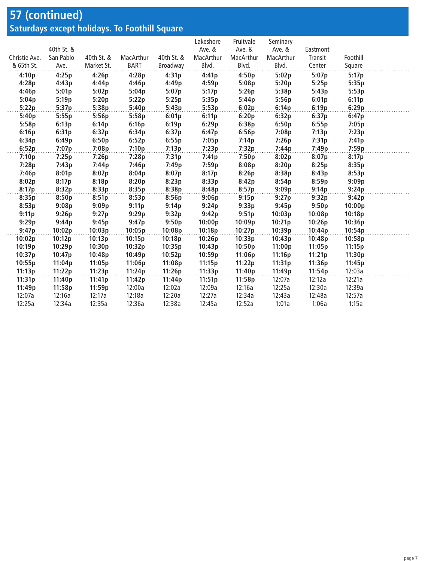#### **57 (continued) Saturdays except holidays. To Foothill Square**

|               |            |            |           |            | Lakeshore | Fruitvale | Seminary  |          |          |  |
|---------------|------------|------------|-----------|------------|-----------|-----------|-----------|----------|----------|--|
|               | 40th St. & |            |           |            | Ave. &    | Ave. &    | Ave. &    | Eastmont |          |  |
| Christie Ave. | San Pablo  | 40th St. & | MacArthur | 40th St. & | MacArthur | MacArthur | MacArthur | Transit  | Foothill |  |
| & 65th St.    | Ave.       | Market St. | BART      | Broadway   | Blvd.     | Blvd.     | Blvd.     | Center   | Square   |  |
| 4:10p         | 4:25p      | 4:26p      | 4:28p     | 4:31p      | 4:41p     | 4:50p     | 5:02p     | 5:07p    | 5:17p    |  |
| 4:28p         | 4:43p      | 4:44p      | 4:46p     | 4:49p      | 4:59p     | 5:08p     | 5:20p     | 5:25p    | 5:35p    |  |
| 4:46p         | 5:01p      | 5:02p      | 5:04p     | 5:07p      | 5:17p     | 5:26p     | 5:38p     | 5:43p    | 5:53p    |  |
| 5:04p         | 5:19p      | 5:20p      | 5:22p     | 5:25p      | 5:35p     | 5:44p     | 5:56p     | 6:01p    | 6:11p    |  |
| 5:22p         | 5:37p      | 5:38p      | 5:40p     | 5:43p      | 5:53p     | 6:02p     | 6:14p     | 6:19p    | 6:29p    |  |
| 5:40p         | 5:55p      | 5:56p      | 5:58p     | 6:01p      | 6:11p     | 6:20p     | 6:32p     | 6:37p    | 6:47p    |  |
| 5:58p         | 6:13p      | 6:14p      | 6:16p     | 6:19p      | 6:29p     | 6:38p     | 6:50p     | 6:55p    | 7:05p    |  |
| 6:16p         | 6:31p      | 6:32p      | 6:34p     | 6:37p      | 6:47p     | 6:56p     | 7:08p     | 7:13p    | 7:23p    |  |
| 6:34p         | 6:49p      | 6:50p      | 6:52p     | 6:55p      | 7:05p     | 7:14p     | 7:26p     | 7:31p    | 7:41p    |  |
| 6:52p         | 7:07p      | 7:08p      | 7:10p     | 7:13p      | 7:23p     | 7:32p     | 7:44p     | 7:49p    | 7:59p    |  |
| 7:10p         | 7:25p      | 7:26p      | 7:28p     | 7:31p      | 7:41p     | 7:50p     | 8:02p     | 8:07p    | 8:17p    |  |
| 7:28p         | 7:43p      | 7:44p      | 7:46p     | 7:49p      | 7:59p     | 8:08p     | 8:20p     | 8:25p    | 8:35p    |  |
| 7:46p         | 8:01p      | 8:02p      | 8:04p     | 8:07p      | 8:17p     | 8:26p     | 8:38p     | 8:43p    | 8:53p    |  |
| 8:02p         | 8:17p      | 8:18p      | 8:20p     | 8:23p      | 8:33p     | 8:42p     | 8:54p     | 8:59p    | 9:09p    |  |
| 8:17p         | 8:32p      | 8:33p      | 8:35p     | 8:38p      | 8:48p     | 8:57p     | 9:09p     | 9:14p    | 9:24p    |  |
| 8:35p         | 8:50p      | 8:51p      | 8:53p     | 8:56p      | 9:06p     | 9:15p     | 9:27p     | 9:32p    | 9:42p    |  |
| 8:53p         | 9:08p      | 9:09p      | 9:11p     | 9:14p      | 9:24p     | 9:33p     | 9:45p     | 9:50p    | 10:00p   |  |
| 9:11p         | 9:26p      | 9:27p      | 9:29p     | 9:32p      | 9:42p     | 9:51p     | 10:03p    | 10:08p   | 10:18p   |  |
| 9:29p         | 9:44p      | 9:45p      | 9:47p     | 9:50p      | 10:00p    | 10:09p    | 10:21p    | 10:26p   | 10:36p   |  |
| 9:47p         | 10:02p     | 10:03p     | 10:05p    | 10:08p     | 10:18p    | 10:27p    | 10:39p    | 10:44p   | 10:54p   |  |
| 10:02p        | 10:12p     | 10:13p     | 10:15p    | 10:18p     | 10:26p    | 10:33p    | 10:43p    | 10:48p   | 10:58p   |  |
| 10:19p        | 10:29p     | 10:30p     | 10:32p    | 10:35p     | 10:43p    | 10:50p    | 11:00p    | 11:05p   | 11:15p   |  |
| 10:37p        | 10:47p     | 10:48p     | 10:49p    | 10:52p     | 10:59p    | 11:06p    | 11:16p    | 11:21p   | 11:30p   |  |
| 10:55p        | 11:04p     | 11:05p     | 11:06p    | 11:08p     | 11:15p    | 11:22p    | 11:31p    | 11:36p   | 11:45p   |  |
| 11:13p        | 11:22p     | 11:23p     | 11:24p    | 11:26p     | 11:33p    | 11:40p    | 11:49p    | 11:54p   | 12:03a   |  |
| 11:31p        | 11:40p     | 11:41p     | 11:42p    | 11:44p     | 11:51p    | 11:58p    | 12:07a    | 12:12a   | 12:21a   |  |
| 11:49p        | 11:58p     | 11:59p     | 12:00a    | 12:02a     | 12:09a    | 12:16a    | 12:25a    | 12:30a   | 12:39a   |  |
| 12:07a        | 12:16a     | 12:17a     | 12:18a    | 12:20a     | 12:27a    | 12:34a    | 12:43a    | 12:48a   | 12:57a   |  |
| 12:25a        | 12:34a     | 12:35a     | 12:36a    | 12:38a     | 12:45a    | 12:52a    | 1:01a     | 1:06a    | 1:15a    |  |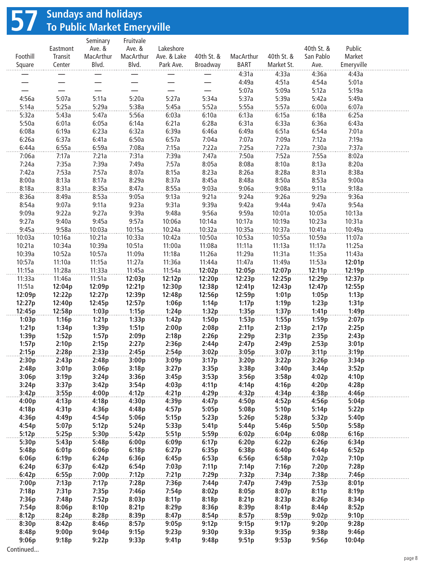## **57 Sundays and holidays To Public Market Emeryville**

|                  |                 | Seminary        | Fruitvale       |                |                |                |                |                |                |  |
|------------------|-----------------|-----------------|-----------------|----------------|----------------|----------------|----------------|----------------|----------------|--|
|                  | Eastmont        | Ave. &          | Ave. &          | Lakeshore      |                |                |                | 40th St. &     | Public         |  |
| Foothill         | Transit         | MacArthur       | MacArthur       | Ave. & Lake    | 40th St. &     | MacArthur      | 40th St. &     | San Pablo      | Market         |  |
| Square           | Center          | Blvd.           | Blvd.           | Park Ave.      | Broadway       | BART           | Market St.     | Ave.           | Emeryville     |  |
|                  |                 |                 |                 |                |                | 4:31a<br>4:49a | 4:33a<br>4:51a | 4:36a<br>4:54a | 4:43a<br>5:01a |  |
|                  |                 |                 |                 |                |                | 5:07a          | 5:09a          | 5:12a          | 5:19a          |  |
| 4:56a            | 5:07a           | 5:11a           | 5:20a           | 5:27a          | 5:34a          | 5:37a          | 5:39a          | 5:42a          | 5:49a          |  |
| 5:14a            | 5:25a           | 5:29a           | 5:38a           | 5:45a          | 5:52a          | 5:55a          | 5:57a          | 6:00a          | 6:07a          |  |
| 5:32a            | 5:43a           | 5:47a           | 5:56a           | 6:03a          | 6:10a          | 6:13a          | 6:15a          | 6:18a          | 6:25a          |  |
| 5:50a            | 6:01a           | 6:05a           | 6:14a           | 6:21a          | 6:28a          | 6:31a          | 6:33a          | 6:36a          | 6:43a          |  |
| 6:08a            | 6:19a           | 6:23a           | 6:32a           | 6:39a          | 6:46a          | 6:49a          | 6:51a          | 6:54a          | 7:01a          |  |
| 6:26a            | 6:37a           | 6:41a           | 6:50a           | 6:57a          | 7:04a          | 7:07a          | 7:09a          | 7:12a          | 7:19a          |  |
| 6:44a            | 6:55a           | 6:59a           | 7:08a           | 7:15a          | 7:22a          | 7:25a          | 7:27a          | 7:30a          | 7:37a          |  |
| 7:06a            | 7:17a           | 7:21a           | 7:31a           | 7:39a          | 7:47a          | 7:50a          | 7:52a          | 7:55a          | 8:02a          |  |
| 7:24a            | 7:35a           | 7:39a           | 7:49a           | 7:57a          | 8:05a          | 8:08a          | 8:10a          | 8:13a          | 8:20a          |  |
| 7:42a            | 7:53a           | 7:57a           | 8:07a           | 8:15a          | 8:23a          | 8:26a          | 8:28a          | 8:31a          | 8:38a          |  |
| 8:00a            | 8:13a           | 8:17a           | 8:29a           | 8:37a          | 8:45a          | 8:48a          | 8:50a          | 8:53a          | 9:00a          |  |
| 8:18a            | 8:31a           | 8:35a           | 8:47a           | 8:55a          | 9:03a          | 9:06a          | 9:08a          | 9:11a          | 9:18a          |  |
| 8:36a            | 8:49a           | 8:53a           | 9:05a           | 9:13a          | 9:21a          | 9:24a          | 9:26a          | 9:29a          | 9:36a          |  |
| 8:54a            | 9:07a           | 9:11a           | 9:23a           | 9:31a          | 9:39a          | 9:42a          | 9:44a          | 9:47a          | 9:54a          |  |
| 9:09a            | 9:22a           | 9:27a           | 9:39a           | 9:48a          | 9:56a          | 9:59a          | 10:01a         | 10:05a         | 10:13a         |  |
| 9:27a            | 9:40a           | 9:45a           | 9:57a           | 10:06a         | 10:14a         | 10:17a         | 10:19a         | 10:23a         | 10:31a         |  |
| 9:45a            | 9:58a           | 10:03a          | 10:15a          | 10:24a         | 10:32a         | 10:35a         | 10:37a         | 10:41a         | 10:49a         |  |
| 10:03a           | 10:16a          | 10:21a          | 10:33a          | 10:42a         | 10:50a         | 10:53a         | 10:55a         | 10:59a         | 11:07a         |  |
| 10:21a           | 10:34a          | 10:39a          | 10:51a          | 11:00a         | 11:08a         | 11:11a         | 11:13a         | 11:17a         | 11:25a         |  |
| 10:39a           | 10:52a          | 10:57a          | 11:09a          | 11:18a         | 11:26a         | 11:29a         | 11:31a         | 11:35a         | 11:43a         |  |
| 10:57a           | 11:10a          | 11:15a          | 11:27a          | 11:36a         | 11:44a         | 11:47a         | 11:49a         | 11:53a         | 12:01p         |  |
| 11:15a           | 11:28a          | 11:33a          | 11:45a          | 11:54a         | 12:02p         | 12:05p         | 12:07p         | 12:11p         | 12:19p         |  |
| 11:33a           | 11:46a          | 11:51a          | 12:03p          | 12:12p         | 12:20p         | 12:23p         | 12:25p         | 12:29p         | 12:37p         |  |
| 11:51a           | 12:04p          | 12:09p          | 12:21p          | 12:30p         | 12:38p         | 12:41p         | 12:43p         | 12:47p         | 12:55p         |  |
| 12:09p           | 12:22p          | 12:27p          | 12:39p          | 12:48p         | 12:56p         | 12:59p         | 1:01p          | 1:05p          | 1:13p          |  |
| 12:27p<br>12:45p | 12:40p          | 12:45p<br>1:03p | 12:57p<br>1:15p | 1:06p          | 1:14p<br>1:32p | 1:17p<br>1:35p | 1:19p<br>1:37p | 1:23p<br>1:41p | 1:31p<br>1:49p |  |
| 1:03p            | 12:58p<br>1:16p | 1:21p           | 1:33p           | 1:24p<br>1:42p | 1:50p          | 1:53p          | 1:55p          | 1:59p          | 2:07p          |  |
| 1:21p            | 1:34p           | 1:39p           | 1:51p           | 2:00p          | 2:08p          | 2:11p          | 2:13p          | 2:17p          | 2:25p          |  |
| 1:39p            | 1:52p           | 1:57p           | 2:09p           | 2:18p          | 2:26p          | 2:29p          | 2:31p          | 2:35p          | 2:43p          |  |
| 1:57p            | 2:10p           | 2:15p           | 2:27p           | 2:36p          | 2:44p          | 2:47p          | 2:49p          | 2:53p          | 3:01p          |  |
| 2:15p            | 2:28p           | 2:33p           | 2:45p           | 2:54p          | 3:02p          | 3:05p          | 3:07p          | 3:11p          | 3:19p          |  |
| 2:30p            | 2:43p           | 2:48p           | 3:00p           | 3:09p          | 3:17p          | 3:20p          | 3:22p          | 3:26p          | 3:34p          |  |
| 2:48p            | 3:01p           | 3:06p           | 3:18p           | 3:27p          | 3:35p          | 3:38p          | 3:40p          | 3:44p          | 3:52p          |  |
| 3:06p            | 3:19p           | 3:24p           | 3:36p           | 3:45p          | 3:53p          | 3:56p          | 3:58p          | 4:02p          | 4:10p          |  |
| 3:24p            | 3:37p           | 3:42p           | 3:54p           | 4:03p          | 4:11p          | 4:14p          | 4:16p          | 4:20p          | 4:28p          |  |
| 3:42p            | 3:55p           | 4:00p           | 4:12p           | 4:21p          | 4:29p          | 4:32p          | 4:34p          | 4:38p          | 4:46p          |  |
| 4:00p            | 4:13p           | 4:18p           | 4:30p           | 4:39p          | 4:47p          | 4:50p          | 4:52p          | 4:56p          | 5:04p          |  |
| 4:18p            | 4:31p           | 4:36p           | 4:48p           | 4:57p          | 5:05p          | 5:08p          | 5:10p          | 5:14p          | 5:22p          |  |
| 4:36p            | 4:49p           | 4:54p           | 5:06p           | 5:15p          | 5:23p          | 5:26p          | 5:28p          | 5:32p          | 5:40p          |  |
| 4:54p            | 5:07p           | 5:12p           | 5:24p           | 5:33p          | 5:41p          | 5:44p          | 5:46p          | 5:50p          | 5:58p          |  |
| 5:12p            | 5:25p           | 5:30p           | 5:42p           | 5:51p          | 5:59p          | 6:02p          | 6:04p          | 6:08p          | 6:16p          |  |
| 5:30p            | 5:43p           | 5:48p           | 6:00p           | 6:09p          | 6:17p          | 6:20p          | 6:22p          | 6:26p          | 6:34p          |  |
| 5:48p            | 6:01p           | 6:06p           | 6:18p           | 6:27p          | 6:35p          | 6:38p          | 6:40p          | 6:44p          | 6:52p          |  |
| 6:06p            | 6:19p           | 6:24p           | 6:36p           | 6:45p          | 6:53p          | 6:56p          | 6:58p          | 7:02p          | 7:10p          |  |
| 6:24p            | 6:37p           | 6:42p           | 6:54p           | 7:03p          | 7:11p          | 7:14p          | 7:16p          | 7:20p          | 7:28p          |  |
| 6:42p            | 6:55p           | 7:00p           | 7:12p           | 7:21p          | 7:29p          | 7:32p          | 7:34p          | 7:38p          | 7:46p          |  |
| 7:00p<br>7:18p   | 7:13p<br>7:31p  | 7:17p<br>7:35p  | 7:28p<br>7:46p  | 7:36p<br>7:54p | 7:44p<br>8:02p | 7:47p<br>8:05p | 7:49p<br>8:07p | 7:53p<br>8:11p | 8:01p<br>8:19p |  |
| 7:36p            | 7:48p           | 7:52p           | 8:03p           | 8:11p          | 8:18p          | 8:21p          | 8:23p          | 8:26p          | 8:34p          |  |
| 7:54p            | 8:06p           | 8:10p           | 8:21p           | 8:29p          | 8:36p          | 8:39p          | 8:41p          | 8:44p          | 8:52p          |  |
| 8:12p            | 8:24p           | 8:28p           | 8:39p           | 8:47p          | 8:54p          | 8:57p          | 8:59p          | 9:02p          | 9:10p          |  |
| 8:30p            | 8:42p           | 8:46p           | 8:57p           | 9:05p          | 9:12p          | 9:15p          | 9:17p          | 9:20p          | 9:28p          |  |
| 8:48p            | 9:00p           | 9:04p           | 9:15p           | 9:23p          | 9:30p          | 9:33p          | 9:35p          | 9:38p          | 9:46p          |  |
| 9:06p            | 9:18p           | 9:22p           | 9:33p           | 9:41p          | 9:48p          | 9:51p          | 9:53p          | 9:56p          | 10:04p         |  |
| Continued        |                 |                 |                 |                |                |                |                |                |                |  |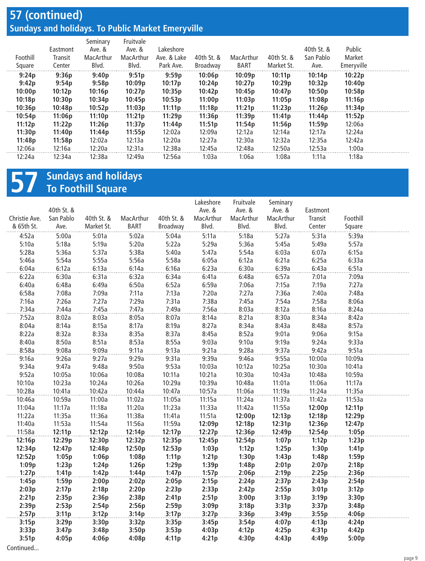### **57 (continued) Sundays and holidays. To Public Market Emeryville**

| Foothill<br>Square | Eastmont<br>Transit<br>Center | Seminary<br>Ave. &<br>MacArthur<br>Blvd. | Fruitvale<br>Ave. &<br>MacArthur<br>Blvd. | Lakeshore<br>Ave. & Lake<br>Park Ave. | 40th St. &<br>Broadway | MacArthur<br><b>BART</b> | 40th St. &<br>Market St. | 40th St. &<br>San Pablo<br>Ave. | Public<br>Market<br>Emeryville |  |
|--------------------|-------------------------------|------------------------------------------|-------------------------------------------|---------------------------------------|------------------------|--------------------------|--------------------------|---------------------------------|--------------------------------|--|
| 9:24p              | 9:36p                         | 9:40p                                    | 9:51p                                     | 9:59p                                 | 10:06p                 | 10:09p                   | 10:11p                   | 10:14p                          | 10:22p                         |  |
| 9:42p              | 9:54p                         | 9:58p                                    | 10:09p                                    | 10:17p                                | 10:24p                 | 10:27p                   | 10:29p                   | 10:32p                          | 10:40p                         |  |
| 10:00p             | 10:12p                        | 10:16p                                   | 10:27p                                    | 10:35p                                | 10:42p                 | 10:45p                   | 10:47p                   | 10:50p                          | 10:58p                         |  |
| 10:18p             | 10:30p                        | 10:34p                                   | 10:45p                                    | 10:53p                                | 11:00p                 | 11:03p                   | 11:05p                   | 11:08p                          | 11:16p                         |  |
| 10:36p             | 10:48p                        | 10:52p                                   | 11:03p                                    | 11:11p                                | 11:18p                 | 11:21p                   | 11:23p                   | 11:26p                          | 11:34p                         |  |
| 10:54p             | 11:06p                        | 11:10p                                   | 11:21p                                    | 11:29p                                | 11:36p                 | 11:39p                   | 11:41p                   | 11:44p                          | 11:52p                         |  |
| 11:12p             | 11:22p                        | 11:26p                                   | 11:37p                                    | 11:44p                                | 11:51p                 | 11:54p                   | 11:56p                   | 11:59p                          | 12:06a                         |  |
| 11:30p             | 11:40p                        | 11:44p                                   | 11:55p                                    | 12:02a                                | 12:09a                 | 12:12a                   | 12:14a                   | 12:17a                          | 12:24a                         |  |
| 11:48p             | 11:58p                        | 12:02a                                   | 12:13a                                    | 12:20a                                | 12:27a                 | 12:30a                   | 12:32a                   | 12:35a                          | 12:42a                         |  |
| 12:06a             | 12:16a                        | 12:20a                                   | 12:31a                                    | 12:38a                                | 12:45a                 | 12:48a                   | 12:50a                   | 12:53a                          | 1:00a                          |  |
| 12:24a             | 12:34a                        | 12:38a                                   | 12:49a                                    | 12:56a                                | 1:03a                  | 1:06a                    | 1:08a                    | 1:11a                           | 1:18a                          |  |

## **57 Sundays and holidays To Foothill Square**

| 40th St. &<br>Ave. &<br>Ave. &<br>Ave. &<br>Eastmont<br>San Pablo<br>40th St. &<br>MacArthur<br>40th St. &<br>MacArthur<br>MacArthur<br>MacArthur<br>Foothill<br>Christie Ave.<br>Transit<br>Blvd.<br>Blvd.<br>& 65th St.<br>Ave.<br>Market St.<br><b>BART</b><br>Broadway<br>Blvd.<br>Center<br>Square<br>5:00a<br>5:01a<br>5:02a<br>5:11a<br>5:18a<br>5:27a<br>5:31a<br>4:52a<br>5:04a<br>5:39a<br>5:10a<br>5:18a<br>5:19a<br>5:20a<br>5:22a<br>5:29a<br>5:36a<br>5:45a<br>5:49a<br>5:57a<br>5:54a<br>5:28a<br>5:36a<br>5:37a<br>5:38a<br>5:40a<br>5:47a<br>6:03a<br>6:07a<br>6:15a<br>5:55a<br>5:54a<br>5:56a<br>5:58a<br>6:05a<br>6:12a<br>6:21a<br>6:25a<br>6:33a<br>5:46a<br>6:13a<br>6:16a<br>6:23a<br>6:30a<br>6:39a<br>6:43a<br>6:51a<br>6:04a<br>6:12a<br>6:14a<br>6:22a<br>6:30a<br>6:31a<br>6:32a<br>6:34a<br>6:41a<br>6:48a<br>6:57a<br>7:01a<br>7:09a |
|---------------------------------------------------------------------------------------------------------------------------------------------------------------------------------------------------------------------------------------------------------------------------------------------------------------------------------------------------------------------------------------------------------------------------------------------------------------------------------------------------------------------------------------------------------------------------------------------------------------------------------------------------------------------------------------------------------------------------------------------------------------------------------------------------------------------------------------------------------------------|
|                                                                                                                                                                                                                                                                                                                                                                                                                                                                                                                                                                                                                                                                                                                                                                                                                                                                     |
|                                                                                                                                                                                                                                                                                                                                                                                                                                                                                                                                                                                                                                                                                                                                                                                                                                                                     |
|                                                                                                                                                                                                                                                                                                                                                                                                                                                                                                                                                                                                                                                                                                                                                                                                                                                                     |
|                                                                                                                                                                                                                                                                                                                                                                                                                                                                                                                                                                                                                                                                                                                                                                                                                                                                     |
|                                                                                                                                                                                                                                                                                                                                                                                                                                                                                                                                                                                                                                                                                                                                                                                                                                                                     |
|                                                                                                                                                                                                                                                                                                                                                                                                                                                                                                                                                                                                                                                                                                                                                                                                                                                                     |
|                                                                                                                                                                                                                                                                                                                                                                                                                                                                                                                                                                                                                                                                                                                                                                                                                                                                     |
|                                                                                                                                                                                                                                                                                                                                                                                                                                                                                                                                                                                                                                                                                                                                                                                                                                                                     |
|                                                                                                                                                                                                                                                                                                                                                                                                                                                                                                                                                                                                                                                                                                                                                                                                                                                                     |
| 6:40a<br>6:48a<br>6:49a<br>6:50a<br>6:52a<br>6:59a<br>7:06a<br>7:15a<br>7:19a<br>7:27a                                                                                                                                                                                                                                                                                                                                                                                                                                                                                                                                                                                                                                                                                                                                                                              |
| 6:58a<br>7:08a<br>7:09a<br>7:11a<br>7:13a<br>7:20a<br>7:27a<br>7:36a<br>7:40a<br>7:48a                                                                                                                                                                                                                                                                                                                                                                                                                                                                                                                                                                                                                                                                                                                                                                              |
| 7:16a<br>7:26a<br>7:27a<br>7:29a<br>7:31a<br>7:38a<br>7:45a<br>7:54a<br>7:58a<br>8:06a                                                                                                                                                                                                                                                                                                                                                                                                                                                                                                                                                                                                                                                                                                                                                                              |
| 7:45a<br>7:47a<br>7:56a<br>8:03a<br>8:12a<br>8:24a<br>7:34a<br>7:44a<br>7:49a<br>8:16a                                                                                                                                                                                                                                                                                                                                                                                                                                                                                                                                                                                                                                                                                                                                                                              |
| 8:21a<br>8:42a<br>7:52a<br>8:02a<br>8:03a<br>8:05a<br>8:07a<br>8:14a<br>8:30a<br>8:34a                                                                                                                                                                                                                                                                                                                                                                                                                                                                                                                                                                                                                                                                                                                                                                              |
| 8:15a<br>8:27a<br>8:57a<br>8:04a<br>8:14a<br>8:17a<br>8:19a<br>8:34a<br>8:43a<br>8:48a                                                                                                                                                                                                                                                                                                                                                                                                                                                                                                                                                                                                                                                                                                                                                                              |
| 8:33a<br>8:35a<br>8:37a<br>8:45a<br>8:52a<br>9:01a<br>9:06a<br>9:15a<br>8:22a<br>8:32a                                                                                                                                                                                                                                                                                                                                                                                                                                                                                                                                                                                                                                                                                                                                                                              |
| 8:51a<br>8:53a<br>8:55a<br>9:03a<br>9:10a<br>9:19a<br>9:24a<br>9:33a<br>8:40a<br>8:50a                                                                                                                                                                                                                                                                                                                                                                                                                                                                                                                                                                                                                                                                                                                                                                              |
| 9:21a<br>9:28a<br>9:42a<br>9:51a<br>8:58a<br>9:08a<br>9:09a<br>9:11a<br>9:13a<br>9:37a                                                                                                                                                                                                                                                                                                                                                                                                                                                                                                                                                                                                                                                                                                                                                                              |
| 9:26a<br>9:27a<br>9:29a<br>9:31a<br>9:39a<br>9:46a<br>9:55a<br>10:00a<br>10:09a<br>9:16a                                                                                                                                                                                                                                                                                                                                                                                                                                                                                                                                                                                                                                                                                                                                                                            |
| 9:47a<br>9:48a<br>9:50a<br>9:53a<br>10:12a<br>10:25a<br>10:30a<br>9:34a<br>10:03a<br>10:41a                                                                                                                                                                                                                                                                                                                                                                                                                                                                                                                                                                                                                                                                                                                                                                         |
| 9:52a<br>10:06a<br>10:08a<br>10:11a<br>10:21a<br>10:43a<br>10:59a<br>10:05a<br>10:30a<br>10:48a                                                                                                                                                                                                                                                                                                                                                                                                                                                                                                                                                                                                                                                                                                                                                                     |
| 10:23a<br>10:39a<br>11:01a<br>11:06a<br>11:17a<br>10:10a<br>10:24a<br>10:26a<br>10:29a<br>10:48a                                                                                                                                                                                                                                                                                                                                                                                                                                                                                                                                                                                                                                                                                                                                                                    |
| 10:47a<br>11:19a<br>11:35a<br>10:28a<br>10:41a<br>10:42a<br>10:44a<br>10:57a<br>11:06a<br>11:24a                                                                                                                                                                                                                                                                                                                                                                                                                                                                                                                                                                                                                                                                                                                                                                    |
| 10:59a<br>11:00a<br>11:02a<br>11:05a<br>11:15a<br>11:24a<br>11:37a<br>11:42a<br>11:53a<br>10:46a                                                                                                                                                                                                                                                                                                                                                                                                                                                                                                                                                                                                                                                                                                                                                                    |
| 11:17a<br>11:18a<br>11:20a<br>11:23a<br>11:33a<br>11:42a<br>11:55a<br>12:11p<br>11:04a<br>12:00p                                                                                                                                                                                                                                                                                                                                                                                                                                                                                                                                                                                                                                                                                                                                                                    |
| 11:22a<br>11:51a<br>11:35a<br>11:36a<br>11:38a<br>11:41a<br>12:00p<br>12:13p<br>12:18p<br>12:29p                                                                                                                                                                                                                                                                                                                                                                                                                                                                                                                                                                                                                                                                                                                                                                    |
| 11:40a<br>11:56a<br>12:18p<br>12:31p<br>11:53a<br>11:54a<br>11:59a<br>12:09p<br>12:36p<br>12:47p                                                                                                                                                                                                                                                                                                                                                                                                                                                                                                                                                                                                                                                                                                                                                                    |
| 11:58a<br>12:27p<br>12:54p<br>1:05p<br>12:11p<br>12:12p<br>12:14p<br>12:17p<br>12:36p<br>12:49p                                                                                                                                                                                                                                                                                                                                                                                                                                                                                                                                                                                                                                                                                                                                                                     |
| 12:16p<br>12:29p<br>12:30p<br>12:35p<br>12:54p<br>1:07p<br>1:23p<br>12:32p<br>12:45p<br>1:12p                                                                                                                                                                                                                                                                                                                                                                                                                                                                                                                                                                                                                                                                                                                                                                       |
| 12:34p<br>12:47p<br>12:48p<br>12:50p<br>12:53p<br>1:03p<br>1:12p<br>1:25p<br>1:30p<br>1:41p<br>1:05p<br>1:06p<br>1:11p<br>1:43p<br>1:48p                                                                                                                                                                                                                                                                                                                                                                                                                                                                                                                                                                                                                                                                                                                            |
| 12:52p<br>1:08p<br>1:21p<br>1:30p<br>1:59p<br>1:24p<br>1:39p                                                                                                                                                                                                                                                                                                                                                                                                                                                                                                                                                                                                                                                                                                                                                                                                        |
| 1:09p<br>1:23p<br>1:26p<br>1:29p<br>1:48p<br>2:01p<br>2:07p<br>2:18p<br>1:27p<br>1:41p<br>1:42p<br>1:44p<br>1:47p<br>1:57p<br>2:06p<br>2:19p<br>2:25p<br>2:36p                                                                                                                                                                                                                                                                                                                                                                                                                                                                                                                                                                                                                                                                                                      |
| 2:00p<br>2:24p<br>2:54p<br>1:45p<br>1:59p<br>2:02p<br>2:05p<br>2:15p<br>2:37p<br>2:43p                                                                                                                                                                                                                                                                                                                                                                                                                                                                                                                                                                                                                                                                                                                                                                              |
| 2:03p<br>2:17p<br>2:18p<br>2:20p<br>2:23p<br>2:33p<br>2:42p<br>2:55p<br>3:01p<br>3:12p                                                                                                                                                                                                                                                                                                                                                                                                                                                                                                                                                                                                                                                                                                                                                                              |
| 2:21p<br>2:35p<br>2:36p<br>2:38p<br>2:41p<br>2:51p<br>3:00p<br>3:13p<br>3:19p<br>3:30p                                                                                                                                                                                                                                                                                                                                                                                                                                                                                                                                                                                                                                                                                                                                                                              |
| 2:53p<br>2:54p<br>2:59p<br>3:09p<br>3:37p<br>2:39p<br>2:56p<br>3:18p<br>3:31p<br>3:48p                                                                                                                                                                                                                                                                                                                                                                                                                                                                                                                                                                                                                                                                                                                                                                              |
| 2:57p<br>3:12p<br>3:14p<br>3:17p<br>3:27p<br>3:36p<br>3:49p<br>3:55p<br>4:06p<br>3:11p                                                                                                                                                                                                                                                                                                                                                                                                                                                                                                                                                                                                                                                                                                                                                                              |
| 3:15p<br>3:29p<br>3:30p<br>3:32p<br>3:35p<br>3:45p<br>3:54p<br>4:07p<br>4:13p<br>4:24p                                                                                                                                                                                                                                                                                                                                                                                                                                                                                                                                                                                                                                                                                                                                                                              |
| 3:50p<br>4:12p<br>3:33p<br>3:47p<br>3:48p<br>3:53p<br>4:03p<br>4:25p<br>4:31p<br>4:42p                                                                                                                                                                                                                                                                                                                                                                                                                                                                                                                                                                                                                                                                                                                                                                              |
| 3:51p<br>4:05p<br>4:06p<br>4:21p<br>4:30p<br>4:43p<br>5:00p<br>4:08p<br>4:11p<br>4:49p                                                                                                                                                                                                                                                                                                                                                                                                                                                                                                                                                                                                                                                                                                                                                                              |
| Continued                                                                                                                                                                                                                                                                                                                                                                                                                                                                                                                                                                                                                                                                                                                                                                                                                                                           |